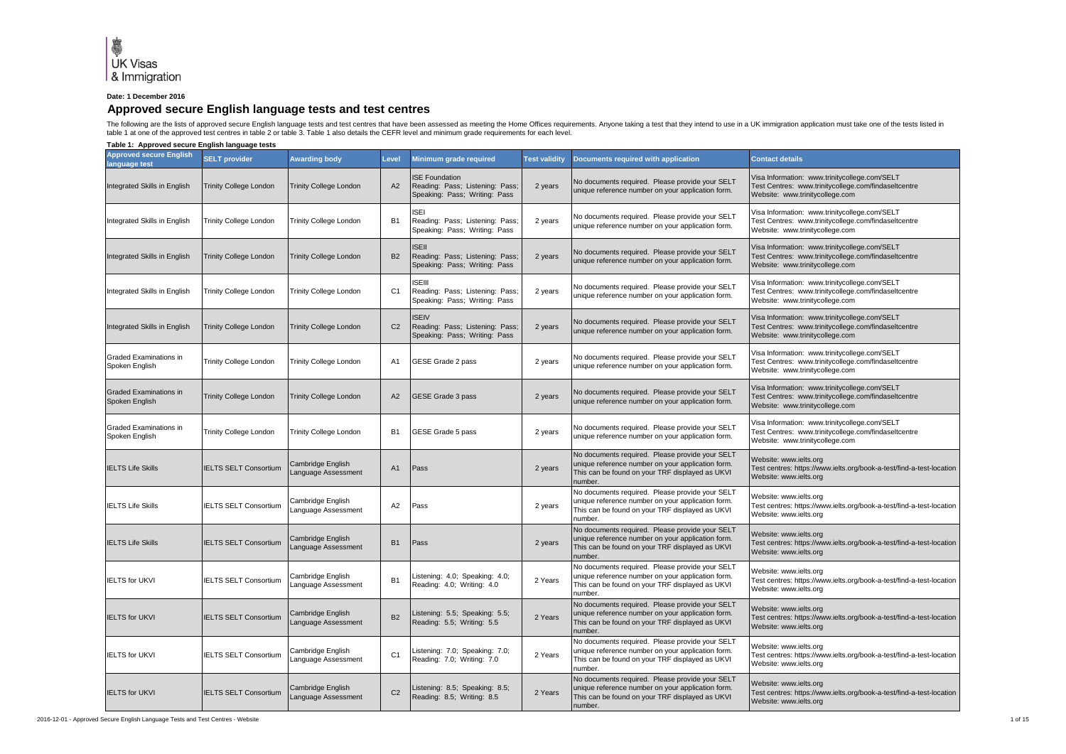

## **Date: 1 December 2016**

## **Approved secure English language tests and test centres**

The following are the lists of approved secure English language tests and test centres that have been assessed as meeting the Home Offices requirements. Anyone taking a test that they intend to use in a UK immigration appl table 1 at one of the approved test centres in table 2 or table 3. Table 1 also details the CEFR level and minimum grade requirements for each level.

**Table 1: Approved secure English language tests**

| <b>Approved secure English</b><br>anguage test | <b>SELT provider</b>          | <b>Awarding body</b>                     | Level          | Minimum grade required                                                                    | <b>Test validity</b> | <b>Documents required with application</b>                                                                                                                         | <b>Contact details</b>                                                                                                                   |
|------------------------------------------------|-------------------------------|------------------------------------------|----------------|-------------------------------------------------------------------------------------------|----------------------|--------------------------------------------------------------------------------------------------------------------------------------------------------------------|------------------------------------------------------------------------------------------------------------------------------------------|
| Integrated Skills in English                   | Trinity College London        | Trinity College London                   | A2             | <b>ISE Foundation</b><br>Reading: Pass; Listening: Pass;<br>Speaking: Pass; Writing: Pass | 2 years              | No documents required. Please provide your SELT<br>unique reference number on your application form.                                                               | Visa Information: www.trinitycollege.com/SELT<br>Test Centres: www.trinitycollege.com/findaseltcentre<br>Website: www.trinitycollege.com |
| Integrated Skills in English                   | <b>Trinity College London</b> | Trinity College London                   | B <sub>1</sub> | <b>ISEI</b><br>Reading: Pass; Listening: Pass;<br>Speaking: Pass; Writing: Pass           | 2 years              | No documents required. Please provide your SELT<br>unique reference number on your application form.                                                               | /isa Information: www.trinitycollege.com/SELT<br>Test Centres: www.trinitycollege.com/findaseltcentre<br>Website: www.trinitycollege.com |
| Integrated Skills in English                   | <b>Trinity College London</b> | <b>Trinity College London</b>            | <b>B2</b>      | <b>ISEII</b><br>Reading: Pass; Listening: Pass<br>Speaking: Pass; Writing: Pass           | 2 years              | No documents required. Please provide your SELT<br>unique reference number on your application form.                                                               | Visa Information: www.trinitycollege.com/SELT<br>Test Centres: www.trinitycollege.com/findaseltcentre<br>Website: www.trinitycollege.com |
| Integrated Skills in English                   | Trinity College London        | Trinity College London                   | C <sub>1</sub> | <b>ISEII</b><br>Reading: Pass; Listening: Pass;<br>Speaking: Pass; Writing: Pass          | 2 years              | No documents required. Please provide your SELT<br>unique reference number on your application form.                                                               | Visa Information: www.trinitycollege.com/SELT<br>Test Centres: www.trinitycollege.com/findaseltcentre<br>Website: www.trinitycollege.com |
| Integrated Skills in English                   | <b>Trinity College London</b> | <b>Trinity College London</b>            | C <sub>2</sub> | <b>ISEIV</b><br>Reading: Pass; Listening: Pass;<br>Speaking: Pass; Writing: Pass          | 2 years              | No documents required. Please provide your SELT<br>unique reference number on your application form.                                                               | /isa Information: www.trinitycollege.com/SELT<br>Test Centres: www.trinitycollege.com/findaseltcentre<br>Website: www.trinitycollege.com |
| Graded Examinations in<br>Spoken English       | Trinity College London        | Trinity College London                   | A <sub>1</sub> | GESE Grade 2 pass                                                                         | 2 years              | No documents required. Please provide your SELT<br>unique reference number on your application form.                                                               | Visa Information: www.trinitycollege.com/SELT<br>Test Centres: www.trinitycollege.com/findaseltcentre<br>Website: www.trinitycollege.com |
| Graded Examinations in<br>Spoken English       | Trinity College London        | <b>Trinity College London</b>            | A2             | GESE Grade 3 pass                                                                         | 2 years              | No documents required. Please provide your SELT<br>unique reference number on your application form.                                                               | Visa Information: www.trinitycollege.com/SELT<br>Test Centres: www.trinitycollege.com/findaseltcentre<br>Website: www.trinitycollege.com |
| Graded Examinations in<br>Spoken English       | Trinity College London        | Trinity College London                   | B <sub>1</sub> | GESE Grade 5 pass                                                                         | 2 years              | No documents required. Please provide your SELT<br>unique reference number on your application form.                                                               | /isa Information: www.trinitycollege.com/SELT<br>Test Centres: www.trinitycollege.com/findaseltcentre<br>Website: www.trinitycollege.com |
| <b>IELTS Life Skills</b>                       | <b>IELTS SELT Consortium</b>  | Cambridge English<br>anguage Assessment  | A1             | Pass                                                                                      | 2 years              | No documents required. Please provide your SELT<br>unique reference number on your application form.<br>This can be found on your TRF displayed as UKVI<br>number. | Website: www.ielts.org<br>Test centres: https://www.ielts.org/book-a-test/find-a-test-location<br>Website: www.ielts.org                 |
| <b>IELTS Life Skills</b>                       | <b>IELTS SELT Consortium</b>  | Cambridge English<br>Language Assessment | A2             | Pass                                                                                      | 2 years              | No documents required. Please provide your SELT<br>unique reference number on your application form.<br>This can be found on your TRF displayed as UKVI<br>number. | Website: www.ielts.org<br>Fest centres: https://www.ielts.org/book-a-test/find-a-test-location<br>Website: www.ielts.org                 |
| <b>IELTS Life Skills</b>                       | <b>IELTS SELT Consortium</b>  | Cambridge English<br>Language Assessment | B <sub>1</sub> | Pass                                                                                      | 2 years              | No documents required. Please provide your SELT<br>unique reference number on your application form.<br>This can be found on your TRF displayed as UKVI<br>number. | Website: www.ielts.org<br>Test centres: https://www.ielts.org/book-a-test/find-a-test-location<br>Website: www.ielts.org                 |
| <b>IELTS for UKVI</b>                          | <b>IELTS SELT Consortium</b>  | Cambridge English<br>anguage Assessment  | <b>B1</b>      | Listening: 4.0; Speaking: 4.0;<br>Reading: 4.0; Writing: 4.0                              | 2 Years              | No documents required. Please provide your SELT<br>unique reference number on your application form.<br>This can be found on your TRF displayed as UKVI<br>number. | Website: www.ielts.org<br>Test centres: https://www.ielts.org/book-a-test/find-a-test-location<br>Website: www.ielts.org                 |
| <b>IELTS for UKVI</b>                          | <b>IELTS SELT Consortium</b>  | Cambridge English<br>anguage Assessment  | <b>B2</b>      | Listening: 5.5; Speaking: 5.5;<br>Reading: 5.5; Writing: 5.5                              | 2 Years              | No documents required. Please provide your SELT<br>unique reference number on your application form.<br>This can be found on your TRF displayed as UKVI<br>number. | Website: www.ielts.org<br>Test centres: https://www.ielts.org/book-a-test/find-a-test-location<br>Website: www.ielts.org                 |
| <b>IELTS for UKVI</b>                          | <b>IELTS SELT Consortium</b>  | Cambridge English<br>anguage Assessment  | C <sub>1</sub> | Listening: 7.0; Speaking: 7.0;<br>Reading: 7.0; Writing: 7.0                              | 2 Years              | No documents required. Please provide your SELT<br>unique reference number on your application form.<br>This can be found on your TRF displayed as UKVI<br>number. | Website: www.ielts.org<br>Fest centres: https://www.ielts.org/book-a-test/find-a-test-location<br>Website: www.ielts.org                 |
| <b>IELTS for UKVI</b>                          | <b>IELTS SELT Consortium</b>  | Cambridge English<br>Language Assessment | C <sub>2</sub> | Listening: 8.5; Speaking: 8.5;<br>Reading: 8.5; Writing: 8.5                              | 2 Years              | No documents required. Please provide your SELT<br>unique reference number on your application form.<br>This can be found on your TRF displayed as UKVI<br>number. | Website: www.ielts.org<br>Test centres: https://www.ielts.org/book-a-test/find-a-test-location<br>Website: www.ielts.org                 |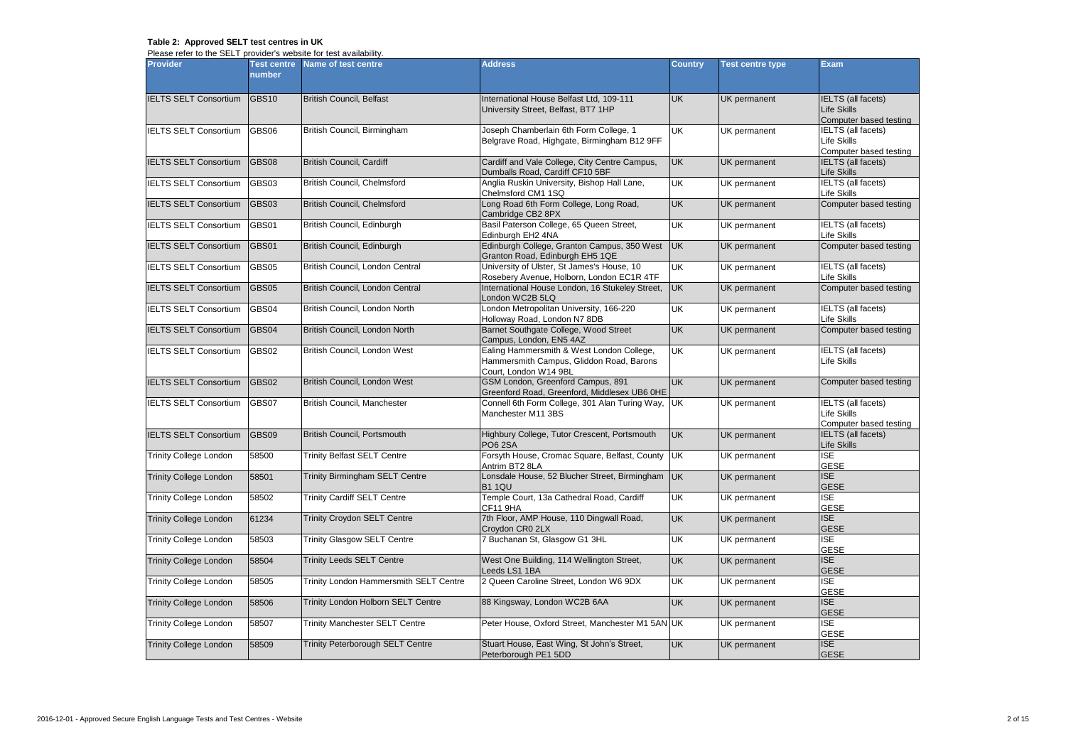## **Table 2: Approved SELT test centres in UK**

Please refer to the SELT provider's website for test availability.

| <b>Provider</b>               | <b>Test centre</b><br>number | Name of test centre                           | <b>Address</b>                                                                                                 | <b>Country</b> | <b>Test centre type</b> | <b>Exam</b>                                                               |
|-------------------------------|------------------------------|-----------------------------------------------|----------------------------------------------------------------------------------------------------------------|----------------|-------------------------|---------------------------------------------------------------------------|
| <b>IELTS SELT Consortium</b>  | <b>GBS10</b>                 | <b>British Council, Belfast</b>               | International House Belfast Ltd, 109-111<br>University Street, Belfast, BT7 1HP                                | <b>UK</b>      | UK permanent            | <b>IELTS</b> (all facets)<br><b>Life Skills</b><br>Computer based testing |
| <b>IELTS SELT Consortium</b>  | GBS06                        | British Council, Birmingham                   | Joseph Chamberlain 6th Form College, 1<br>Belgrave Road, Highgate, Birmingham B12 9FF                          | UK             | UK permanent            | IELTS (all facets)<br><b>Life Skills</b><br>Computer based testing        |
| <b>IELTS SELT Consortium</b>  | GBS08                        | <b>British Council, Cardiff</b>               | Cardiff and Vale College, City Centre Campus,<br>Dumballs Road, Cardiff CF10 5BF                               | <b>UK</b>      | UK permanent            | <b>IELTS</b> (all facets)<br><b>Life Skills</b>                           |
| <b>IELTS SELT Consortium</b>  | GBS03                        | British Council, Chelmsford                   | Anglia Ruskin University, Bishop Hall Lane,<br>Chelmsford CM1 1SQ                                              | UK             | UK permanent            | <b>IELTS</b> (all facets)<br>Life Skills                                  |
| <b>IELTS SELT Consortium</b>  | <b>GBS03</b>                 | British Council, Chelmsford                   | Long Road 6th Form College, Long Road,<br>Cambridge CB2 8PX                                                    | <b>UK</b>      | UK permanent            | Computer based testing                                                    |
| <b>IELTS SELT Consortium</b>  | GBS01                        | British Council, Edinburgh                    | Basil Paterson College, 65 Queen Street,<br>Edinburgh EH2 4NA                                                  | <b>UK</b>      | UK permanent            | <b>IELTS</b> (all facets)<br>Life Skills                                  |
| <b>IELTS SELT Consortium</b>  | GBS01                        | British Council, Edinburgh                    | Edinburgh College, Granton Campus, 350 West<br>Granton Road, Edinburgh EH5 1QE                                 | <b>UK</b>      | UK permanent            | Computer based testing                                                    |
| <b>IELTS SELT Consortium</b>  | GBS05                        | British Council, London Central               | University of Ulster, St James's House, 10<br>Rosebery Avenue, Holborn, London EC1R 4TF                        | UK             | UK permanent            | IELTS (all facets)<br>Life Skills                                         |
| <b>IELTS SELT Consortium</b>  | GBS05                        | British Council, London Central               | International House London, 16 Stukeley Street,<br>ondon WC2B 5LQ                                              | <b>UK</b>      | UK permanent            | Computer based testing                                                    |
| <b>IELTS SELT Consortium</b>  | GBS04                        | British Council, London North                 | London Metropolitan University, 166-220<br>Holloway Road, London N7 8DB                                        | UK             | UK permanent            | <b>IELTS</b> (all facets)<br>Life Skills                                  |
| <b>IELTS SELT Consortium</b>  | GBS04                        | British Council, London North                 | Barnet Southgate College, Wood Street<br>Campus, London, EN5 4AZ                                               | <b>UK</b>      | UK permanent            | Computer based testing                                                    |
| <b>IELTS SELT Consortium</b>  | GBS02                        | British Council, London West                  | Ealing Hammersmith & West London College,<br>Hammersmith Campus, Gliddon Road, Barons<br>Court, London W14 9BL | UK             | UK permanent            | IELTS (all facets)<br>Life Skills                                         |
| <b>IELTS SELT Consortium</b>  | <b>GBS02</b>                 | British Council, London West                  | GSM London, Greenford Campus, 891<br>Greenford Road, Greenford, Middlesex UB6 OHE                              | UK             | <b>UK</b> permanent     | Computer based testing                                                    |
| <b>IELTS SELT Consortium</b>  | GBS07                        | British Council, Manchester                   | Connell 6th Form College, 301 Alan Turing Way,<br>Manchester M11 3BS                                           | UK             | UK permanent            | <b>IELTS</b> (all facets)<br><b>Life Skills</b><br>Computer based testing |
| <b>IELTS SELT Consortium</b>  | GBS09                        | <b>British Council, Portsmouth</b>            | Highbury College, Tutor Crescent, Portsmouth<br><b>PO6 2SA</b>                                                 | <b>UK</b>      | UK permanent            | IELTS (all facets)<br><b>Life Skills</b>                                  |
| <b>Trinity College London</b> | 58500                        | <b>Trinity Belfast SELT Centre</b>            | Forsyth House, Cromac Square, Belfast, County<br>Antrim BT2 8LA                                                | UK             | UK permanent            | <b>ISE</b><br><b>GESE</b>                                                 |
| <b>Trinity College London</b> | 58501                        | <b>Trinity Birmingham SELT Centre</b>         | Lonsdale House, 52 Blucher Street, Birmingham<br><b>B1 1QU</b>                                                 | <b>UK</b>      | UK permanent            | <b>ISE</b><br><b>GESE</b>                                                 |
| <b>Trinity College London</b> | 58502                        | <b>Trinity Cardiff SELT Centre</b>            | Temple Court, 13a Cathedral Road, Cardiff<br>CF11 9HA                                                          | UK             | UK permanent            | <b>ISE</b><br><b>GESE</b>                                                 |
| <b>Trinity College London</b> | 61234                        | <b>Trinity Croydon SELT Centre</b>            | 7th Floor, AMP House, 110 Dingwall Road,<br>Croydon CR0 2LX                                                    | <b>UK</b>      | UK permanent            | <b>ISE</b><br><b>GESE</b>                                                 |
| Trinity College London        | 58503                        | <b>Trinity Glasgow SELT Centre</b>            | 7 Buchanan St, Glasgow G1 3HL                                                                                  | <b>UK</b>      | UK permanent            | $\overline{\mathsf{ISE}}$<br><b>GESE</b>                                  |
| <b>Trinity College London</b> | 58504                        | <b>Trinity Leeds SELT Centre</b>              | West One Building, 114 Wellington Street,<br>Leeds LS1 1BA                                                     | <b>UK</b>      | UK permanent            | <b>ISE</b><br><b>GESE</b>                                                 |
| <b>Trinity College London</b> | 58505                        | <b>Trinity London Hammersmith SELT Centre</b> | 2 Queen Caroline Street, London W6 9DX                                                                         | UK             | UK permanent            | <b>ISE</b><br>GESE                                                        |
| <b>Trinity College London</b> | 58506                        | Trinity London Holborn SELT Centre            | 88 Kingsway, London WC2B 6AA                                                                                   | <b>UK</b>      | UK permanent            | <b>ISE</b><br><b>GESE</b>                                                 |
| <b>Trinity College London</b> | 58507                        | <b>Trinity Manchester SELT Centre</b>         | Peter House, Oxford Street, Manchester M1 5AN UK                                                               |                | UK permanent            | <b>ISE</b><br><b>GESE</b>                                                 |
| <b>Trinity College London</b> | 58509                        | <b>Trinity Peterborough SELT Centre</b>       | Stuart House, East Wing, St John's Street,<br>Peterborough PE1 5DD                                             | <b>UK</b>      | UK permanent            | <b>ISE</b><br><b>GESE</b>                                                 |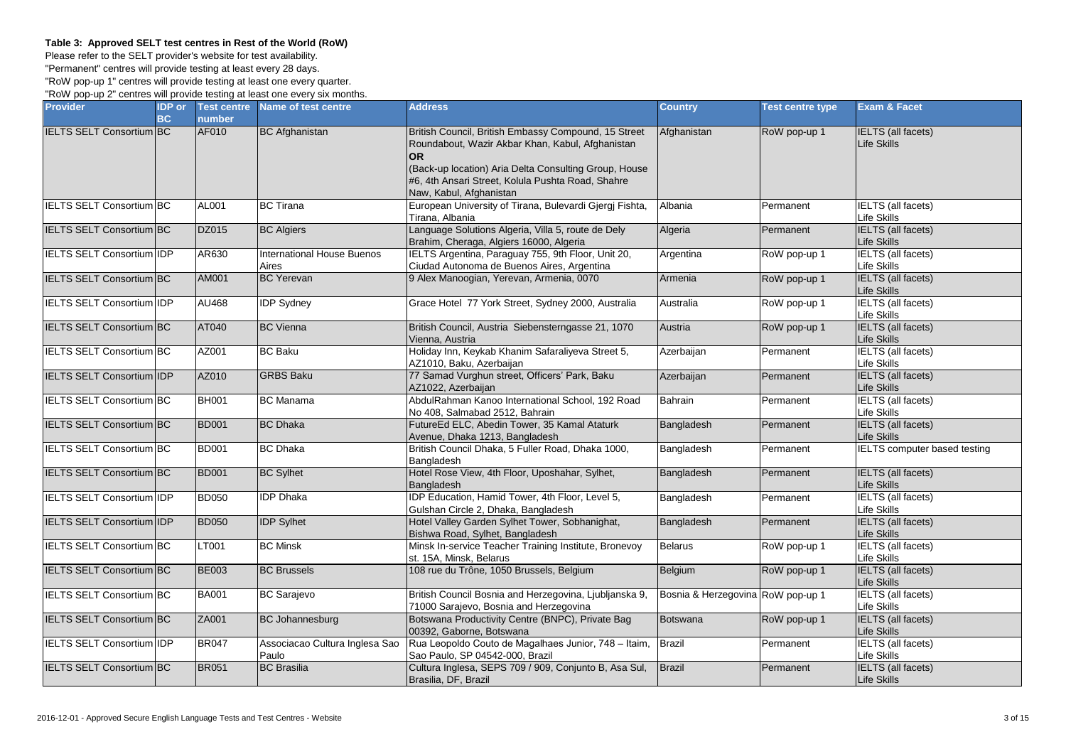## **Table 3: Approved SELT test centres in Rest of the World (RoW)**

Please refer to the SELT provider's website for test availability.

"Permanent" centres will provide testing at least every 28 days.

"RoW pop-up 1" centres will provide testing at least one every quarter. "RoW pop-up 2" centres will provide testing at least one every six months.

| <b>Provider</b>                  | <b>IDP</b> or | <b>Test centre</b> | Name of test centre                        | <b>Address</b>                                                                                                                                                                                                                                                 | <b>Country</b>                    | <b>Test centre type</b> | <b>Exam &amp; Facet</b>                  |
|----------------------------------|---------------|--------------------|--------------------------------------------|----------------------------------------------------------------------------------------------------------------------------------------------------------------------------------------------------------------------------------------------------------------|-----------------------------------|-------------------------|------------------------------------------|
|                                  | BC            | number             |                                            |                                                                                                                                                                                                                                                                |                                   |                         |                                          |
| <b>IELTS SELT Consortium BC</b>  |               | AF010              | <b>BC</b> Afghanistan                      | British Council, British Embassy Compound, 15 Street<br>Roundabout, Wazir Akbar Khan, Kabul, Afghanistan<br><b>OR</b><br>(Back-up location) Aria Delta Consulting Group, House<br>#6. 4th Ansari Street. Kolula Pushta Road. Shahre<br>Naw, Kabul, Afghanistan | Afghanistan                       | RoW pop-up 1            | <b>IELTS</b> (all facets)<br>Life Skills |
| <b>IELTS SELT Consortium BC</b>  |               | AL001              | <b>BC</b> Tirana                           | European University of Tirana, Bulevardi Gjergj Fishta,<br>Tirana, Albania                                                                                                                                                                                     | Albania                           | Permanent               | IELTS (all facets)<br>Life Skills        |
| <b>IELTS SELT Consortium BC</b>  |               | DZ015              | <b>BC Algiers</b>                          | Language Solutions Algeria, Villa 5, route de Dely<br>Brahim, Cheraga, Algiers 16000, Algeria                                                                                                                                                                  | Algeria                           | Permanent               | <b>IELTS</b> (all facets)<br>Life Skills |
| <b>IELTS SELT Consortium IDP</b> |               | AR630              | <b>International House Buenos</b><br>Aires | IELTS Argentina, Paraguay 755, 9th Floor, Unit 20,<br>Ciudad Autonoma de Buenos Aires, Argentina                                                                                                                                                               | Argentina                         | RoW pop-up 1            | <b>IELTS</b> (all facets)<br>Life Skills |
| IELTS SELT Consortium BC         |               | AM001              | <b>BC</b> Yerevan                          | 9 Alex Manoogian, Yerevan, Armenia, 0070                                                                                                                                                                                                                       | Armenia                           | RoW pop-up 1            | <b>IELTS</b> (all facets)<br>Life Skills |
| IELTS SELT Consortium IDP        |               | AU468              | <b>IDP</b> Sydney                          | Grace Hotel 77 York Street, Sydney 2000, Australia                                                                                                                                                                                                             | Australia                         | RoW pop-up 1            | <b>IELTS</b> (all facets)<br>Life Skills |
| <b>IELTS SELT Consortium BC</b>  |               | AT040              | <b>BC</b> Vienna                           | British Council, Austria Siebensterngasse 21, 1070<br>Vienna, Austria                                                                                                                                                                                          | Austria                           | RoW pop-up 1            | <b>IELTS</b> (all facets)<br>Life Skills |
| <b>IELTS SELT Consortium BC</b>  |               | AZ001              | <b>BC Baku</b>                             | Holiday Inn, Keykab Khanim Safaraliyeva Street 5,<br>AZ1010, Baku, Azerbaijan                                                                                                                                                                                  | Azerbaijan                        | Permanent               | <b>IELTS</b> (all facets)<br>Life Skills |
| IELTS SELT Consortium IDP        |               | AZ010              | <b>GRBS Baku</b>                           | 77 Samad Vurghun street, Officers' Park, Baku<br>AZ1022, Azerbaijan                                                                                                                                                                                            | Azerbaijan                        | Permanent               | <b>IELTS</b> (all facets)<br>Life Skills |
| IELTS SELT Consortium BC         |               | <b>BH001</b>       | <b>BC</b> Manama                           | AbdulRahman Kanoo International School, 192 Road<br>No 408, Salmabad 2512, Bahrain                                                                                                                                                                             | Bahrain                           | Permanent               | <b>IELTS</b> (all facets)<br>Life Skills |
| <b>IELTS SELT Consortium BC</b>  |               | <b>BD001</b>       | <b>BC Dhaka</b>                            | FutureEd ELC, Abedin Tower, 35 Kamal Ataturk<br>Avenue, Dhaka 1213, Bangladesh                                                                                                                                                                                 | Bangladesh                        | Permanent               | <b>IELTS</b> (all facets)<br>Life Skills |
| <b>IELTS SELT Consortium BC</b>  |               | <b>BD001</b>       | <b>BC</b> Dhaka                            | British Council Dhaka, 5 Fuller Road, Dhaka 1000,<br>Bangladesh                                                                                                                                                                                                | Bangladesh                        | Permanent               | <b>IELTS</b> computer based testing      |
| <b>IELTS SELT Consortium BC</b>  |               | <b>BD001</b>       | <b>BC Sylhet</b>                           | Hotel Rose View, 4th Floor, Uposhahar, Sylhet,<br><b>Bangladesh</b>                                                                                                                                                                                            | Bangladesh                        | Permanent               | <b>IELTS</b> (all facets)<br>Life Skills |
| IELTS SELT Consortium IDP        |               | <b>BD050</b>       | <b>IDP Dhaka</b>                           | IDP Education, Hamid Tower, 4th Floor, Level 5,<br>Gulshan Circle 2, Dhaka, Bangladesh                                                                                                                                                                         | Bangladesh                        | Permanent               | <b>IELTS</b> (all facets)<br>Life Skills |
| <b>IELTS SELT Consortium IDP</b> |               | <b>BD050</b>       | <b>IDP Sylhet</b>                          | Hotel Valley Garden Sylhet Tower, Sobhanighat,<br>Bishwa Road, Sylhet, Bangladesh                                                                                                                                                                              | Bangladesh                        | Permanent               | <b>IELTS</b> (all facets)<br>Life Skills |
| <b>IELTS SELT Consortium BC</b>  |               | LT001              | <b>BC Minsk</b>                            | Minsk In-service Teacher Training Institute, Bronevoy<br>st. 15A, Minsk, Belarus                                                                                                                                                                               | <b>Belarus</b>                    | RoW pop-up 1            | <b>IELTS</b> (all facets)<br>Life Skills |
| IELTS SELT Consortium BC         |               | <b>BE003</b>       | <b>BC Brussels</b>                         | 108 rue du Trône, 1050 Brussels, Belgium                                                                                                                                                                                                                       | Belgium                           | RoW pop-up 1            | <b>IELTS</b> (all facets)<br>Life Skills |
| <b>IELTS SELT Consortium BC</b>  |               | <b>BA001</b>       | <b>BC</b> Sarajevo                         | British Council Bosnia and Herzegovina, Ljubljanska 9,<br>71000 Sarajevo, Bosnia and Herzegovina                                                                                                                                                               | Bosnia & Herzegovina RoW pop-up 1 |                         | <b>IELTS</b> (all facets)<br>Life Skills |
| IELTS SELT Consortium BC         |               | ZA001              | <b>BC Johannesburg</b>                     | Botswana Productivity Centre (BNPC), Private Bag<br>00392, Gaborne, Botswana                                                                                                                                                                                   | <b>Botswana</b>                   | RoW pop-up 1            | <b>IELTS</b> (all facets)<br>Life Skills |
| <b>IELTS SELT Consortium IDP</b> |               | <b>BR047</b>       | Associacao Cultura Inglesa Sao<br>Paulo    | Rua Leopoldo Couto de Magalhaes Junior, 748 - Itaim,<br>Sao Paulo, SP 04542-000, Brazil                                                                                                                                                                        | <b>Brazil</b>                     | Permanent               | <b>IELTS</b> (all facets)<br>Life Skills |
| <b>IELTS SELT Consortium BC</b>  |               | <b>BR051</b>       | <b>BC</b> Brasilia                         | Cultura Inglesa, SEPS 709 / 909, Conjunto B, Asa Sul,<br>Brasilia, DF, Brazil                                                                                                                                                                                  | <b>Brazil</b>                     | Permanent               | <b>IELTS</b> (all facets)<br>Life Skills |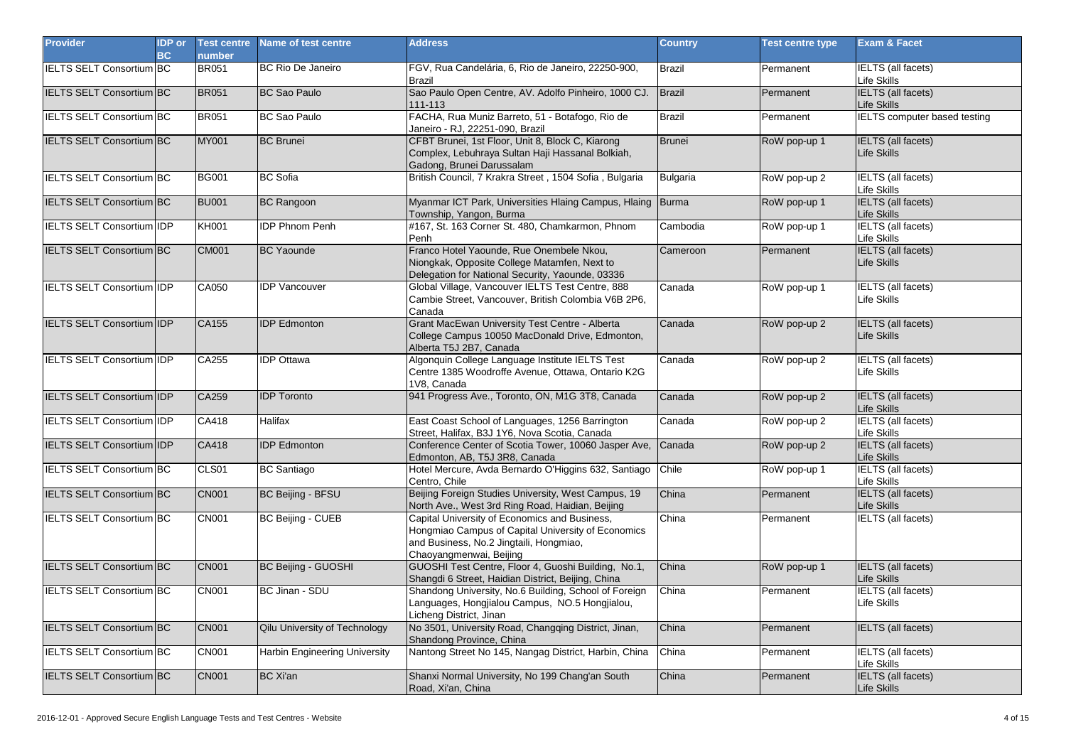| <b>Provider</b>                  | <b>IDP</b> or<br><b>BC</b> | <b>Test centre</b><br>number | Name of test centre           | <b>Address</b>                                                                                                                                                            | <b>Country</b> | <b>Test centre type</b> | <b>Exam &amp; Facet</b>                         |
|----------------------------------|----------------------------|------------------------------|-------------------------------|---------------------------------------------------------------------------------------------------------------------------------------------------------------------------|----------------|-------------------------|-------------------------------------------------|
| <b>IELTS SELT Consortium BC</b>  |                            | <b>BR051</b>                 | <b>BC Rio De Janeiro</b>      | FGV, Rua Candelária, 6, Rio de Janeiro, 22250-900,<br><b>Brazil</b>                                                                                                       | Brazil         | Permanent               | <b>IELTS</b> (all facets)<br>Life Skills        |
| IELTS SELT Consortium BC         |                            | <b>BR051</b>                 | <b>BC Sao Paulo</b>           | Sao Paulo Open Centre, AV. Adolfo Pinheiro, 1000 CJ.<br>111-113                                                                                                           | <b>Brazil</b>  | Permanent               | <b>IELTS</b> (all facets)<br>Life Skills        |
| IELTS SELT Consortium BC         |                            | <b>BR051</b>                 | <b>BC Sao Paulo</b>           | FACHA, Rua Muniz Barreto, 51 - Botafogo, Rio de<br>Janeiro - RJ, 22251-090, Brazil                                                                                        | Brazil         | Permanent               | IELTS computer based testing                    |
| <b>IELTS SELT Consortium BC</b>  |                            | <b>MY001</b>                 | <b>BC Brunei</b>              | CFBT Brunei, 1st Floor, Unit 8, Block C, Kiarong<br>Complex, Lebuhraya Sultan Haji Hassanal Bolkiah,<br>Gadong, Brunei Darussalam                                         | Brunei         | RoW pop-up 1            | <b>IELTS</b> (all facets)<br>Life Skills        |
| IELTS SELT Consortium BC         |                            | <b>BG001</b>                 | <b>BC</b> Sofia               | British Council, 7 Krakra Street, 1504 Sofia, Bulgaria                                                                                                                    | Bulgaria       | RoW pop-up 2            | <b>IELTS</b> (all facets)<br>Life Skills        |
| IELTS SELT Consortium BC         |                            | <b>BU001</b>                 | <b>BC Rangoon</b>             | Myanmar ICT Park, Universities Hlaing Campus, Hlaing Burma<br>Township, Yangon, Burma                                                                                     |                | RoW pop-up 1            | <b>IELTS</b> (all facets)<br><b>Life Skills</b> |
| <b>IELTS SELT Consortium IDP</b> |                            | <b>KH001</b>                 | <b>IDP Phnom Penh</b>         | #167, St. 163 Corner St. 480, Chamkarmon, Phnom<br>Penh                                                                                                                   | Cambodia       | RoW pop-up 1            | <b>IELTS</b> (all facets)<br>Life Skills        |
| IELTS SELT Consortium BC         |                            | CM001                        | <b>BC</b> Yaounde             | Franco Hotel Yaounde, Rue Onembele Nkou,<br>Niongkak, Opposite College Matamfen, Next to<br>Delegation for National Security, Yaounde, 03336                              | Cameroon       | Permanent               | <b>IELTS</b> (all facets)<br><b>Life Skills</b> |
| <b>IELTS SELT Consortium IDP</b> |                            | CA050                        | <b>IDP Vancouver</b>          | Global Village, Vancouver IELTS Test Centre, 888<br>Cambie Street, Vancouver, British Colombia V6B 2P6,<br>Canada                                                         | Canada         | RoW pop-up 1            | IELTS (all facets)<br><b>Life Skills</b>        |
| <b>IELTS SELT Consortium IDP</b> |                            | CA155                        | <b>IDP</b> Edmonton           | Grant MacEwan University Test Centre - Alberta<br>College Campus 10050 MacDonald Drive, Edmonton,<br>Alberta T5J 2B7, Canada                                              | Canada         | RoW pop-up 2            | IELTS (all facets)<br><b>Life Skills</b>        |
| <b>IELTS SELT Consortium IDP</b> |                            | CA255                        | <b>IDP</b> Ottawa             | Algonquin College Language Institute IELTS Test<br>Centre 1385 Woodroffe Avenue, Ottawa, Ontario K2G<br>1V8, Canada                                                       | Canada         | RoW pop-up 2            | IELTS (all facets)<br><b>Life Skills</b>        |
| IELTS SELT Consortium IDP        |                            | CA259                        | <b>IDP</b> Toronto            | 941 Progress Ave., Toronto, ON, M1G 3T8, Canada                                                                                                                           | Canada         | RoW pop-up 2            | IELTS (all facets)<br>Life Skills               |
| <b>IELTS SELT Consortium IDP</b> |                            | CA418                        | <b>Halifax</b>                | East Coast School of Languages, 1256 Barrington<br>Street, Halifax, B3J 1Y6, Nova Scotia, Canada                                                                          | Canada         | RoW pop-up 2            | <b>IELTS</b> (all facets)<br>Life Skills        |
| IELTS SELT Consortium IDP        |                            | <b>CA418</b>                 | <b>IDP</b> Edmonton           | Conference Center of Scotia Tower, 10060 Jasper Ave,<br>Edmonton, AB, T5J 3R8, Canada                                                                                     | Canada         | RoW pop-up 2            | <b>IELTS</b> (all facets)<br>Life Skills        |
| IELTS SELT Consortium BC         |                            | CLS01                        | <b>BC</b> Santiago            | Hotel Mercure, Avda Bernardo O'Higgins 632, Santiago<br>Centro, Chile                                                                                                     | Chile          | RoW pop-up 1            | <b>IELTS</b> (all facets)<br>Life Skills        |
| <b>IELTS SELT Consortium BC</b>  |                            | <b>CN001</b>                 | BC Beijing - BFSU             | Beijing Foreign Studies University, West Campus, 19<br>North Ave., West 3rd Ring Road, Haidian, Beijing                                                                   | China          | Permanent               | <b>IELTS</b> (all facets)<br>Life Skills        |
| <b>IELTS SELT Consortium BC</b>  |                            | <b>CN001</b>                 | BC Beijing - CUEB             | Capital University of Economics and Business,<br>Hongmiao Campus of Capital University of Economics<br>and Business, No.2 Jingtaili, Hongmiao,<br>Chaoyangmenwai, Beijing | China          | Permanent               | <b>IELTS</b> (all facets)                       |
| <b>IELTS SELT Consortium BC</b>  |                            | <b>CN001</b>                 | BC Beijing - GUOSHI           | GUOSHI Test Centre, Floor 4, Guoshi Building, No.1,<br>Shangdi 6 Street, Haidian District, Beijing, China                                                                 | China          | RoW pop-up 1            | IELTS (all facets)<br>Life Skills               |
| <b>IELTS SELT Consortium BC</b>  |                            | <b>CN001</b>                 | BC Jinan - SDU                | Shandong University, No.6 Building, School of Foreign<br>Languages, Hongjialou Campus, NO.5 Hongjialou,<br>Licheng District, Jinan                                        | China          | Permanent               | <b>IELTS</b> (all facets)<br>Life Skills        |
| IELTS SELT Consortium BC         |                            | <b>CN001</b>                 | Qilu University of Technology | No 3501, University Road, Changqing District, Jinan,<br>Shandong Province, China                                                                                          | China          | Permanent               | <b>IELTS</b> (all facets)                       |
| <b>IELTS SELT Consortium BC</b>  |                            | <b>CN001</b>                 | Harbin Engineering University | Nantong Street No 145, Nangag District, Harbin, China                                                                                                                     | China          | Permanent               | IELTS (all facets)<br><b>Life Skills</b>        |
| <b>IELTS SELT Consortium BC</b>  |                            | <b>CN001</b>                 | <b>BC Xi'an</b>               | Shanxi Normal University, No 199 Chang'an South<br>Road, Xi'an, China                                                                                                     | China          | Permanent               | <b>IELTS</b> (all facets)<br>Life Skills        |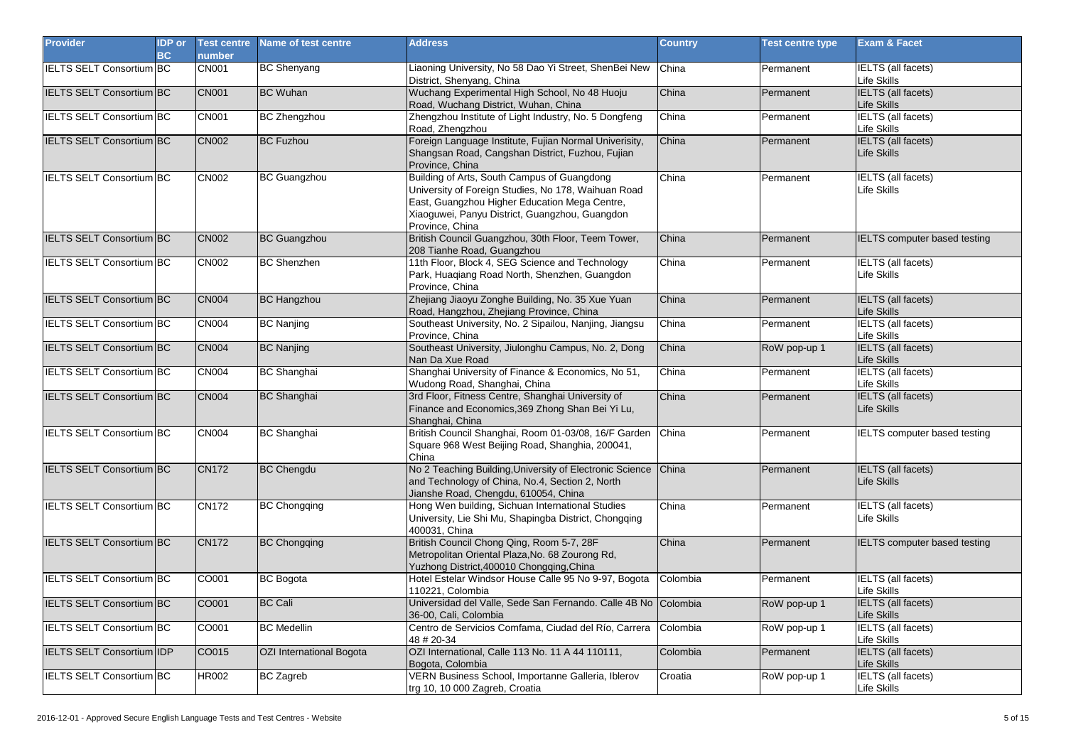| <b>Provider</b>                  | <b>IDP</b> or<br>BC | <b>Test centre</b><br>number | Name of test centre      | <b>Address</b>                                                                                                                                                                                                           | <b>Country</b> | Test centre type | <b>Exam &amp; Facet</b>                  |
|----------------------------------|---------------------|------------------------------|--------------------------|--------------------------------------------------------------------------------------------------------------------------------------------------------------------------------------------------------------------------|----------------|------------------|------------------------------------------|
| <b>IELTS SELT Consortium BC</b>  |                     | <b>CN001</b>                 | <b>BC Shenyang</b>       | Liaoning University, No 58 Dao Yi Street, ShenBei New<br>District, Shenyang, China                                                                                                                                       | China          | Permanent        | IELTS (all facets)<br>Life Skills        |
| IELTS SELT Consortium BC         |                     | <b>CN001</b>                 | <b>BC Wuhan</b>          | Wuchang Experimental High School, No 48 Huoju<br>Road, Wuchang District, Wuhan, China                                                                                                                                    | China          | Permanent        | <b>IELTS</b> (all facets)<br>Life Skills |
| <b>IELTS SELT Consortium BC</b>  |                     | CN001                        | <b>BC Zhengzhou</b>      | Zhengzhou Institute of Light Industry, No. 5 Dongfeng<br>Road, Zhengzhou                                                                                                                                                 | China          | Permanent        | IELTS (all facets)<br>Life Skills        |
| <b>IELTS SELT Consortium BC</b>  |                     | <b>CN002</b>                 | <b>BC Fuzhou</b>         | Foreign Language Institute, Fujian Normal Univerisity,<br>Shangsan Road, Cangshan District, Fuzhou, Fujian<br>Province, China                                                                                            | China          | Permanent        | <b>IELTS</b> (all facets)<br>Life Skills |
| IELTS SELT Consortium BC         |                     | CN002                        | <b>BC Guangzhou</b>      | Building of Arts, South Campus of Guangdong<br>University of Foreign Studies, No 178, Waihuan Road<br>East, Guangzhou Higher Education Mega Centre,<br>Xiaoquwei, Panyu District, Guangzhou, Guangdon<br>Province, China | China          | Permanent        | <b>IELTS</b> (all facets)<br>Life Skills |
| <b>IELTS SELT Consortium BC</b>  |                     | <b>CN002</b>                 | <b>BC Guangzhou</b>      | British Council Guangzhou, 30th Floor, Teem Tower,<br>208 Tianhe Road, Guangzhou                                                                                                                                         | China          | Permanent        | IELTS computer based testing             |
| <b>IELTS SELT Consortium BC</b>  |                     | CN002                        | <b>BC Shenzhen</b>       | 11th Floor, Block 4, SEG Science and Technology<br>Park, Huaqiang Road North, Shenzhen, Guangdon<br>Province, China                                                                                                      | China          | Permanent        | IELTS (all facets)<br>Life Skills        |
| <b>IELTS SELT Consortium BC</b>  |                     | <b>CN004</b>                 | <b>BC Hangzhou</b>       | Zhejiang Jiaoyu Zonghe Building, No. 35 Xue Yuan<br>Road, Hangzhou, Zhejiang Province, China                                                                                                                             | China          | Permanent        | <b>IELTS</b> (all facets)<br>Life Skills |
| <b>IELTS SELT Consortium BC</b>  |                     | <b>CN004</b>                 | <b>BC Nanjing</b>        | Southeast University, No. 2 Sipailou, Nanjing, Jiangsu<br>Province, China                                                                                                                                                | China          | Permanent        | <b>IELTS</b> (all facets)<br>Life Skills |
| IELTS SELT Consortium BC         |                     | <b>CN004</b>                 | <b>BC Nanjing</b>        | Southeast University, Jiulonghu Campus, No. 2, Dong<br>Nan Da Xue Road                                                                                                                                                   | China          | RoW pop-up 1     | <b>IELTS</b> (all facets)<br>Life Skills |
| IELTS SELT Consortium BC         |                     | CN004                        | <b>BC Shanghai</b>       | Shanghai University of Finance & Economics, No 51,<br>Wudong Road, Shanghai, China                                                                                                                                       | China          | Permanent        | <b>IELTS</b> (all facets)<br>Life Skills |
| IELTS SELT Consortium BC         |                     | <b>CN004</b>                 | <b>BC Shanghai</b>       | 3rd Floor, Fitness Centre, Shanghai University of<br>Finance and Economics, 369 Zhong Shan Bei Yi Lu,<br>Shanghai, China                                                                                                 | China          | Permanent        | <b>IELTS</b> (all facets)<br>Life Skills |
| IELTS SELT Consortium BC         |                     | CN004                        | <b>BC Shanghai</b>       | British Council Shanghai, Room 01-03/08, 16/F Garden China<br>Square 968 West Beijing Road, Shanghia, 200041,<br>China                                                                                                   |                | Permanent        | <b>IELTS computer based testing</b>      |
| IELTS SELT Consortium BC         |                     | <b>CN172</b>                 | <b>BC Chengdu</b>        | No 2 Teaching Building, University of Electronic Science<br>and Technology of China, No.4, Section 2, North<br>Jianshe Road, Chengdu, 610054, China                                                                      | China          | Permanent        | <b>IELTS</b> (all facets)<br>Life Skills |
| <b>IELTS SELT Consortium BC</b>  |                     | <b>CN172</b>                 | <b>BC Chongqing</b>      | Hong Wen building, Sichuan International Studies<br>University, Lie Shi Mu, Shapingba District, Chongqing<br>400031, China                                                                                               | China          | Permanent        | <b>IELTS</b> (all facets)<br>Life Skills |
| <b>IELTS SELT Consortium BC</b>  |                     | <b>CN172</b>                 | <b>BC Chongqing</b>      | British Council Chong Qing, Room 5-7, 28F<br>Metropolitan Oriental Plaza, No. 68 Zourong Rd,<br>Yuzhong District, 400010 Chongging, China                                                                                | China          | Permanent        | IELTS computer based testing             |
| <b>IELTS SELT Consortium BC</b>  |                     | CO001                        | <b>BC</b> Bogota         | Hotel Estelar Windsor House Calle 95 No 9-97, Bogota<br>110221, Colombia                                                                                                                                                 | Colombia       | Permanent        | <b>IELTS</b> (all facets)<br>Life Skills |
| IELTS SELT Consortium BC         |                     | CO001                        | <b>BC Cali</b>           | Universidad del Valle, Sede San Fernando. Calle 4B No Colombia<br>36-00, Cali, Colombia                                                                                                                                  |                | RoW pop-up 1     | <b>IELTS</b> (all facets)<br>Life Skills |
| IELTS SELT Consortium BC         |                     | CO001                        | <b>BC</b> Medellin       | Centro de Servicios Comfama, Ciudad del Río, Carrera<br>48 # 20-34                                                                                                                                                       | Colombia       | RoW pop-up 1     | <b>IELTS</b> (all facets)<br>Life Skills |
| <b>IELTS SELT Consortium IDP</b> |                     | CO015                        | OZI International Bogota | OZI International, Calle 113 No. 11 A 44 110111,<br>Bogota, Colombia                                                                                                                                                     | Colombia       | Permanent        | <b>IELTS</b> (all facets)<br>Life Skills |
| <b>IELTS SELT Consortium BC</b>  |                     | <b>HR002</b>                 | <b>BC Zagreb</b>         | VERN Business School, Importanne Galleria, Iblerov<br>trg 10, 10 000 Zagreb, Croatia                                                                                                                                     | Croatia        | RoW pop-up 1     | <b>IELTS</b> (all facets)<br>Life Skills |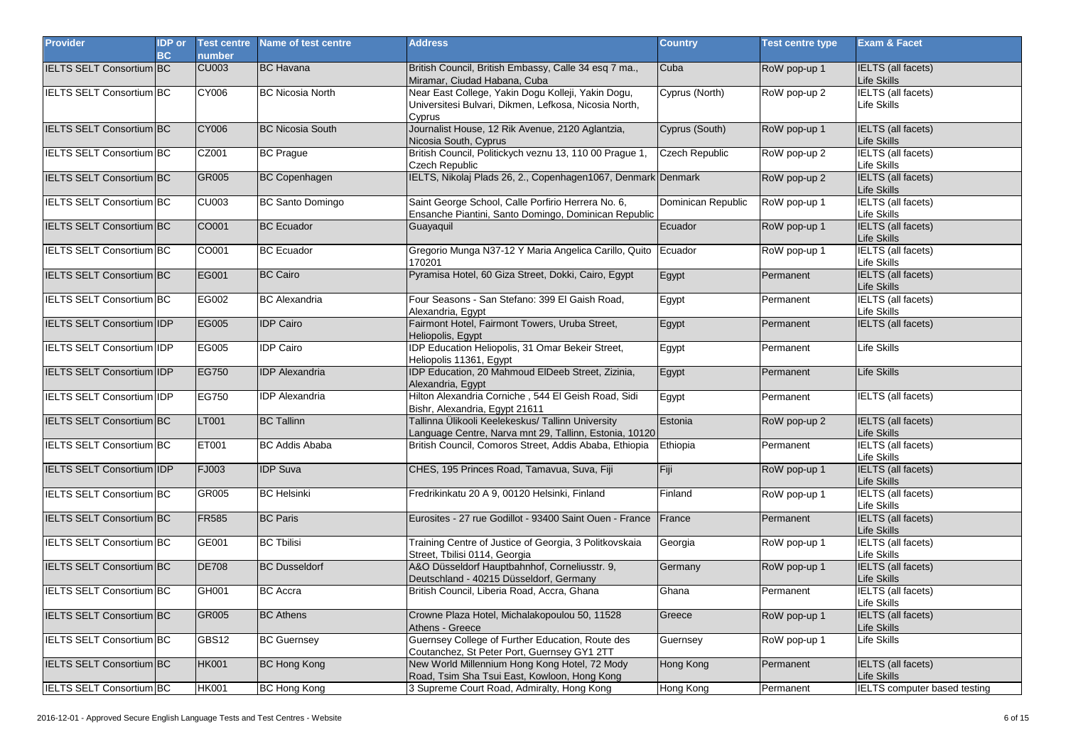| <b>Provider</b>                  | <b>IDP</b> or<br>BC | <b>Test centre</b><br>number | Name of test centre     | <b>Address</b>                                                                                                        | <b>Country</b>     | <b>Test centre type</b> | <b>Exam &amp; Facet</b>                  |
|----------------------------------|---------------------|------------------------------|-------------------------|-----------------------------------------------------------------------------------------------------------------------|--------------------|-------------------------|------------------------------------------|
| <b>IELTS SELT Consortium BC</b>  |                     | <b>CU003</b>                 | <b>BC</b> Havana        | British Council, British Embassy, Calle 34 esq 7 ma.,<br>Miramar, Ciudad Habana, Cuba                                 | Cuba               | RoW pop-up 1            | <b>IELTS</b> (all facets)<br>Life Skills |
| IELTS SELT Consortium BC         |                     | <b>CY006</b>                 | <b>BC Nicosia North</b> | Near East College, Yakin Dogu Kolleji, Yakin Dogu,<br>Universitesi Bulvari, Dikmen, Lefkosa, Nicosia North,<br>Cyprus | Cyprus (North)     | RoW pop-up 2            | <b>IELTS</b> (all facets)<br>Life Skills |
| IELTS SELT Consortium BC         |                     | CY006                        | <b>BC Nicosia South</b> | Journalist House, 12 Rik Avenue, 2120 Aglantzia,<br>Nicosia South, Cyprus                                             | Cyprus (South)     | RoW pop-up 1            | IELTS (all facets)<br>Life Skills        |
| IELTS SELT Consortium BC         |                     | CZ001                        | <b>BC Prague</b>        | British Council, Politickych veznu 13, 110 00 Prague 1,<br><b>Czech Republic</b>                                      | Czech Republic     | RoW pop-up 2            | <b>IELTS</b> (all facets)<br>Life Skills |
| IELTS SELT Consortium BC         |                     | GR005                        | <b>BC Copenhagen</b>    | IELTS, Nikolaj Plads 26, 2., Copenhagen1067, Denmark Denmark                                                          |                    | RoW pop-up 2            | <b>IELTS</b> (all facets)<br>Life Skills |
| IELTS SELT Consortium BC         |                     | <b>CU003</b>                 | <b>BC Santo Domingo</b> | Saint George School, Calle Porfirio Herrera No. 6,<br>Ensanche Piantini, Santo Domingo, Dominican Republic            | Dominican Republic | RoW pop-up 1            | <b>IELTS</b> (all facets)<br>Life Skills |
| IELTS SELT Consortium BC         |                     | CO001                        | <b>BC</b> Ecuador       | Guayaquil                                                                                                             | Ecuador            | RoW pop-up 1            | <b>IELTS</b> (all facets)<br>Life Skills |
| IELTS SELT Consortium BC         |                     | CO001                        | <b>BC</b> Ecuador       | Gregorio Munga N37-12 Y Maria Angelica Carillo, Quito<br>170201                                                       | Ecuador            | RoW pop-up 1            | <b>IELTS</b> (all facets)<br>Life Skills |
| <b>IELTS SELT Consortium BC</b>  |                     | EG001                        | <b>BC Cairo</b>         | Pyramisa Hotel, 60 Giza Street, Dokki, Cairo, Egypt                                                                   | Egypt              | Permanent               | <b>IELTS</b> (all facets)<br>Life Skills |
| <b>IELTS SELT Consortium BC</b>  |                     | EG002                        | <b>BC</b> Alexandria    | Four Seasons - San Stefano: 399 El Gaish Road,<br>Alexandria, Egypt                                                   | Egypt              | Permanent               | <b>IELTS</b> (all facets)<br>Life Skills |
| <b>IELTS SELT Consortium IDP</b> |                     | EG005                        | <b>IDP Cairo</b>        | Fairmont Hotel, Fairmont Towers, Uruba Street,<br>Heliopolis, Egypt                                                   | Egypt              | Permanent               | <b>IELTS</b> (all facets)                |
| IELTS SELT Consortium IDP        |                     | EG005                        | <b>IDP Cairo</b>        | <b>IDP Education Heliopolis, 31 Omar Bekeir Street,</b><br>Heliopolis 11361, Eqypt                                    | Egypt              | Permanent               | Life Skills                              |
| IELTS SELT Consortium IDP        |                     | EG750                        | <b>IDP</b> Alexandria   | IDP Education, 20 Mahmoud ElDeeb Street, Zizinia,<br>Alexandria, Egypt                                                | Egypt              | Permanent               | Life Skills                              |
| <b>IELTS SELT Consortium IDP</b> |                     | EG750                        | <b>IDP</b> Alexandria   | Hilton Alexandria Corniche, 544 El Geish Road, Sidi<br>Bishr, Alexandria, Egypt 21611                                 | Egypt              | Permanent               | IELTS (all facets)                       |
| <b>IELTS SELT Consortium BC</b>  |                     | <b>LT001</b>                 | <b>BC Tallinn</b>       | Tallinna Ülikooli Keelekeskus/ Tallinn University<br>Language Centre, Narva mnt 29, Tallinn, Estonia, 10120           | Estonia            | RoW pop-up 2            | <b>IELTS</b> (all facets)<br>Life Skills |
| IELTS SELT Consortium BC         |                     | ET001                        | <b>BC Addis Ababa</b>   | British Council, Comoros Street, Addis Ababa, Ethiopia                                                                | Ethiopia           | Permanent               | <b>IELTS</b> (all facets)<br>Life Skills |
| IELTS SELT Consortium IDP        |                     | FJ003                        | <b>IDP Suva</b>         | CHES, 195 Princes Road, Tamavua, Suva, Fiji                                                                           | Fiji               | RoW pop-up 1            | <b>IELTS</b> (all facets)<br>Life Skills |
| IELTS SELT Consortium BC         |                     | GR005                        | <b>BC Helsinki</b>      | Fredrikinkatu 20 A 9, 00120 Helsinki, Finland                                                                         | Finland            | RoW pop-up 1            | <b>IELTS</b> (all facets)<br>Life Skills |
| IELTS SELT Consortium BC         |                     | FR585                        | <b>BC Paris</b>         | Eurosites - 27 rue Godillot - 93400 Saint Ouen - France                                                               | France             | Permanent               | <b>IELTS</b> (all facets)<br>Life Skills |
| IELTS SELT Consortium BC         |                     | GE001                        | <b>BC Tbilisi</b>       | Training Centre of Justice of Georgia, 3 Politkovskaia<br>Street, Tbilisi 0114, Georgia                               | Georgia            | RoW pop-up 1            | <b>IELTS</b> (all facets)<br>Life Skills |
| IELTS SELT Consortium BC         |                     | <b>DE708</b>                 | <b>BC Dusseldorf</b>    | A&O Düsseldorf Hauptbahnhof, Corneliusstr. 9,<br>Deutschland - 40215 Düsseldorf, Germany                              | Germany            | RoW pop-up 1            | <b>IELTS</b> (all facets)<br>Life Skills |
| <b>IELTS SELT Consortium BC</b>  |                     | GH001                        | <b>BC</b> Accra         | British Council, Liberia Road, Accra, Ghana                                                                           | Ghana              | Permanent               | <b>IELTS</b> (all facets)<br>Life Skills |
| <b>IELTS SELT Consortium BC</b>  |                     | <b>GR005</b>                 | <b>BC Athens</b>        | Crowne Plaza Hotel, Michalakopoulou 50, 11528<br>Athens - Greece                                                      | Greece             | RoW pop-up 1            | <b>IELTS</b> (all facets)<br>Life Skills |
| IELTS SELT Consortium BC         |                     | GBS12                        | <b>BC Guernsey</b>      | Guernsey College of Further Education, Route des<br>Coutanchez, St Peter Port, Guernsey GY1 2TT                       | Guernsey           | RoW pop-up 1            | Life Skills                              |
| <b>IELTS SELT Consortium BC</b>  |                     | <b>HK001</b>                 | <b>BC Hong Kong</b>     | New World Millennium Hong Kong Hotel, 72 Mody<br>Road, Tsim Sha Tsui East, Kowloon, Hong Kong                         | Hong Kong          | Permanent               | <b>IELTS</b> (all facets)<br>Life Skills |
| IELTS SELT Consortium BC         |                     | <b>HK001</b>                 | <b>BC Hong Kong</b>     | 3 Supreme Court Road, Admiralty, Hong Kong                                                                            | Hong Kong          | Permanent               | IELTS computer based testing             |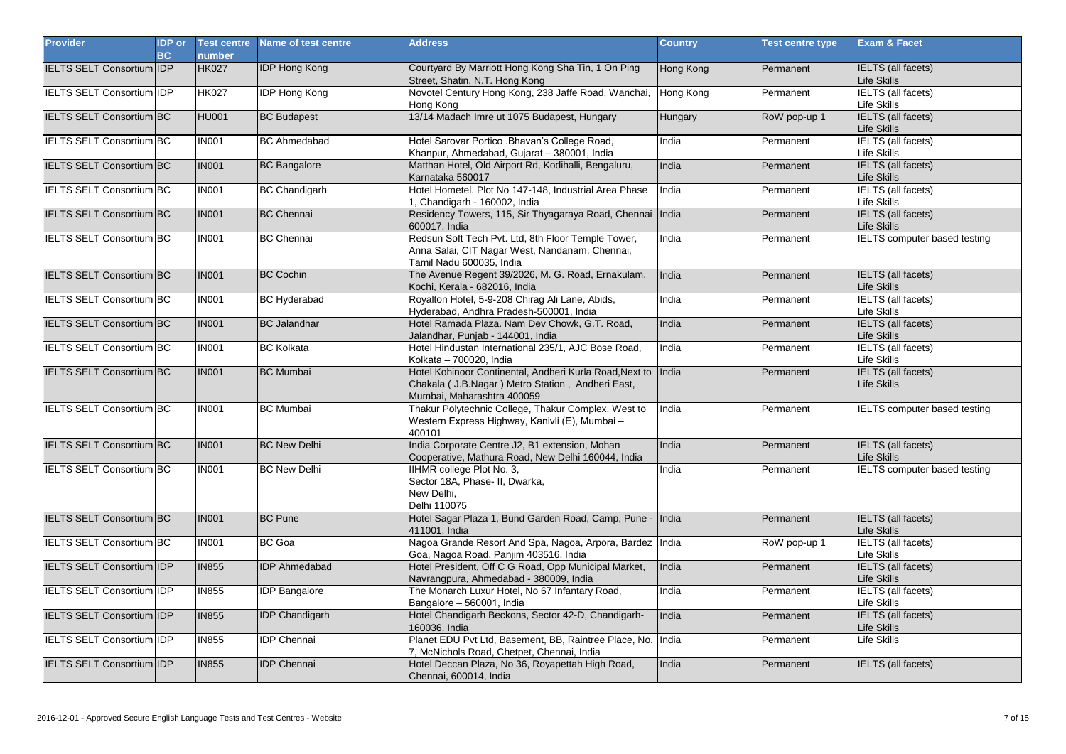| <b>Provider</b>                   | <b>IDP</b> or<br><b>BC</b> | <b>Test centre</b><br>number | Name of test centre   | <b>Address</b>                                                                                                                                    | <b>Country</b>   | <b>Test centre type</b> | <b>Exam &amp; Facet</b>                  |
|-----------------------------------|----------------------------|------------------------------|-----------------------|---------------------------------------------------------------------------------------------------------------------------------------------------|------------------|-------------------------|------------------------------------------|
| <b>IELTS SELT Consortium IDP</b>  |                            | <b>HK027</b>                 | <b>IDP Hong Kong</b>  | Courtyard By Marriott Hong Kong Sha Tin, 1 On Ping<br>Street, Shatin, N.T. Hong Kong                                                              | Hong Kong        | Permanent               | <b>IELTS</b> (all facets)<br>Life Skills |
| <b>IELTS SELT Consortium IDP</b>  |                            | <b>HK027</b>                 | <b>IDP Hong Kong</b>  | Novotel Century Hong Kong, 238 Jaffe Road, Wanchai,<br>Hong Kong                                                                                  | <b>Hong Kong</b> | Permanent               | <b>IELTS</b> (all facets)<br>Life Skills |
| <b>IELTS SELT Consortium BC</b>   |                            | <b>HU001</b>                 | <b>BC Budapest</b>    | 13/14 Madach Imre ut 1075 Budapest, Hungary                                                                                                       | Hungary          | RoW pop-up 1            | <b>IELTS</b> (all facets)<br>Life Skills |
| <b>IELTS SELT Consortium BC</b>   |                            | <b>IN001</b>                 | <b>BC</b> Ahmedabad   | Hotel Sarovar Portico .Bhavan's College Road,<br>Khanpur, Ahmedabad, Gujarat - 380001, India                                                      | India            | Permanent               | <b>IELTS</b> (all facets)<br>Life Skills |
| <b>IELTS SELT Consortium BC</b>   |                            | <b>IN001</b>                 | <b>BC Bangalore</b>   | Matthan Hotel, Old Airport Rd, Kodihalli, Bengaluru,<br>Karnataka 560017                                                                          | India            | Permanent               | <b>IELTS</b> (all facets)<br>Life Skills |
| IELTS SELT Consortium BC          |                            | <b>IN001</b>                 | <b>BC Chandigarh</b>  | Hotel Hometel. Plot No 147-148, Industrial Area Phase<br>1, Chandigarh - 160002, India                                                            | India            | Permanent               | <b>IELTS</b> (all facets)<br>Life Skills |
| IELTS SELT Consortium BC          |                            | <b>IN001</b>                 | <b>BC Chennai</b>     | Residency Towers, 115, Sir Thyagaraya Road, Chennai India<br>600017, India                                                                        |                  | Permanent               | <b>IELTS</b> (all facets)<br>Life Skills |
| <b>IELTS SELT Consortium BC</b>   |                            | <b>IN001</b>                 | <b>BC Chennai</b>     | Redsun Soft Tech Pvt. Ltd, 8th Floor Temple Tower,<br>Anna Salai, CIT Nagar West, Nandanam, Chennai,<br>Tamil Nadu 600035, India                  | India            | Permanent               | <b>IELTS</b> computer based testing      |
| IELTS SELT Consortium BC          |                            | <b>IN001</b>                 | <b>BC Cochin</b>      | The Avenue Regent 39/2026, M. G. Road, Ernakulam,<br>Kochi, Kerala - 682016, India                                                                | India            | Permanent               | <b>IELTS</b> (all facets)<br>Life Skills |
| <b>IELTS SELT Consortium BC</b>   |                            | <b>IN001</b>                 | <b>BC Hyderabad</b>   | Royalton Hotel, 5-9-208 Chirag Ali Lane, Abids,<br>Hyderabad, Andhra Pradesh-500001, India                                                        | India            | Permanent               | <b>IELTS</b> (all facets)<br>Life Skills |
| <b>IELTS SELT Consortium BC</b>   |                            | <b>IN001</b>                 | <b>BC</b> Jalandhar   | Hotel Ramada Plaza. Nam Dev Chowk, G.T. Road,<br>Jalandhar, Punjab - 144001, India                                                                | India            | Permanent               | <b>IELTS</b> (all facets)<br>Life Skills |
| IELTS SELT Consortium BC          |                            | <b>IN001</b>                 | <b>BC Kolkata</b>     | Hotel Hindustan International 235/1, AJC Bose Road,<br>Kolkata - 700020, India                                                                    | India            | Permanent               | <b>IELTS</b> (all facets)<br>Life Skills |
| <b>IELTS SELT Consortium BC</b>   |                            | <b>IN001</b>                 | <b>BC Mumbai</b>      | Hotel Kohinoor Continental, Andheri Kurla Road, Next to India<br>Chakala ( J.B.Nagar ) Metro Station, Andheri East,<br>Mumbai, Maharashtra 400059 |                  | Permanent               | <b>IELTS</b> (all facets)<br>Life Skills |
| IELTS SELT Consortium BC          |                            | <b>IN001</b>                 | <b>BC</b> Mumbai      | Thakur Polytechnic College, Thakur Complex, West to<br>Western Express Highway, Kanivli (E), Mumbai -<br>400101                                   | India            | Permanent               | <b>IELTS computer based testing</b>      |
| <b>IELTS SELT Consortium BC</b>   |                            | <b>IN001</b>                 | <b>BC New Delhi</b>   | India Corporate Centre J2, B1 extension, Mohan<br>Cooperative, Mathura Road, New Delhi 160044, India                                              | India            | Permanent               | <b>IELTS</b> (all facets)<br>Life Skills |
| <b>IELTS SELT Consortium BC</b>   |                            | <b>IN001</b>                 | <b>BC New Delhi</b>   | IIHMR college Plot No. 3,<br>Sector 18A, Phase- II, Dwarka,<br>New Delhi,<br>Delhi 110075                                                         | India            | Permanent               | <b>IELTS computer based testing</b>      |
| <b>IELTS SELT Consortium BC</b>   |                            | <b>IN001</b>                 | <b>BC Pune</b>        | Hotel Sagar Plaza 1, Bund Garden Road, Camp, Pune - India<br>411001. India                                                                        |                  | Permanent               | <b>IELTS</b> (all facets)<br>Life Skills |
| IELTS SELT Consortium BC          |                            | <b>IN001</b>                 | <b>BC</b> Goa         | Nagoa Grande Resort And Spa, Nagoa, Arpora, Bardez India<br>Goa, Nagoa Road, Panjim 403516, India                                                 |                  | RoW pop-up 1            | <b>IELTS</b> (all facets)<br>Life Skills |
| IELTS SELT Consortium IDP         |                            | <b>IN855</b>                 | <b>IDP Ahmedabad</b>  | Hotel President, Off C G Road, Opp Municipal Market,<br>Navrangpura, Ahmedabad - 380009, India                                                    | India            | Permanent               | <b>IELTS</b> (all facets)<br>Life Skills |
| <b>IELTS SELT Consortium IDP</b>  |                            | <b>IN855</b>                 | <b>IDP Bangalore</b>  | The Monarch Luxur Hotel, No 67 Infantary Road,<br>Bangalore - 560001, India                                                                       | India            | Permanent               | <b>IELTS</b> (all facets)<br>Life Skills |
| IELTS SELT Consortium IDP         |                            | <b>IN855</b>                 | <b>IDP Chandigarh</b> | Hotel Chandigarh Beckons, Sector 42-D, Chandigarh-<br>160036, India                                                                               | India            | Permanent               | <b>IELTS</b> (all facets)<br>Life Skills |
| <b>IELTS SELT Consortium IDP</b>  |                            | <b>IN855</b>                 | <b>IDP Chennai</b>    | Planet EDU Pvt Ltd, Basement, BB, Raintree Place, No. India<br>7, McNichols Road, Chetpet, Chennai, India                                         |                  | Permanent               | Life Skills                              |
| <b>IELTS SELT Consortium IIDP</b> |                            | <b>IN855</b>                 | <b>IDP Chennai</b>    | Hotel Deccan Plaza, No 36, Royapettah High Road,<br>Chennai, 600014, India                                                                        | India            | Permanent               | <b>IELTS (all facets)</b>                |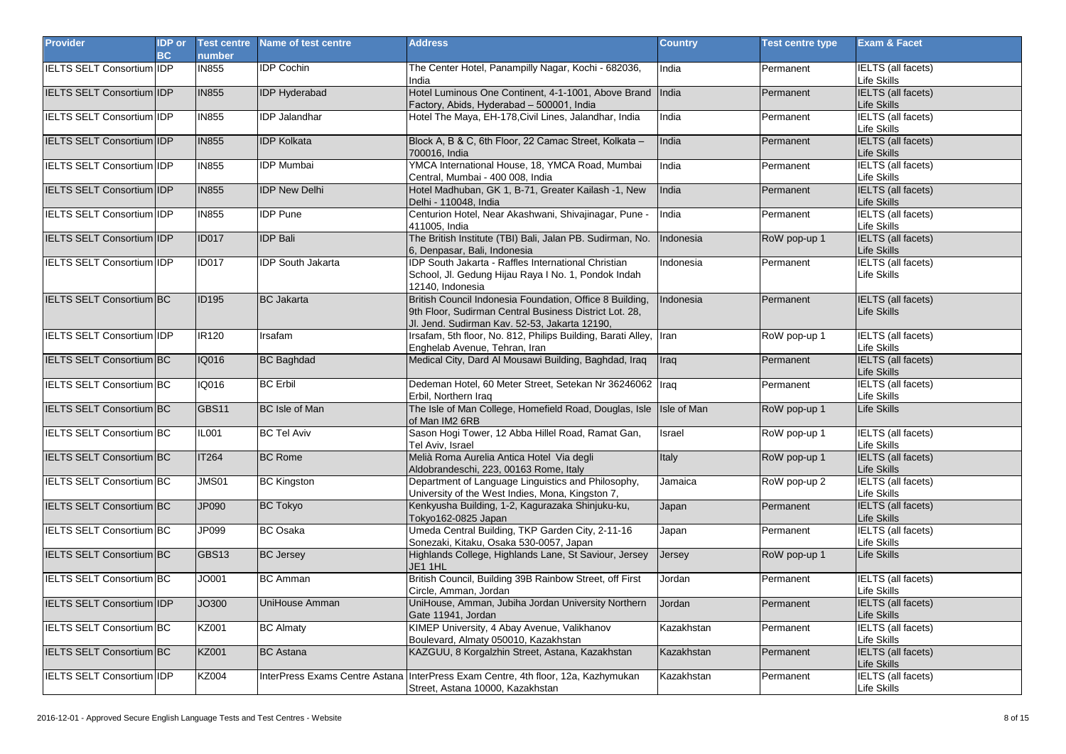| <b>Provider</b>                  | <b>IDP</b> or<br><b>BC</b> | <b>Test centre</b><br>number | Name of test centre      | <b>Address</b>                                                                                                                                                      | <b>Country</b> | <b>Test centre type</b> | <b>Exam &amp; Facet</b>                  |
|----------------------------------|----------------------------|------------------------------|--------------------------|---------------------------------------------------------------------------------------------------------------------------------------------------------------------|----------------|-------------------------|------------------------------------------|
| <b>IELTS SELT Consortium IDP</b> |                            | <b>IN855</b>                 | <b>IDP Cochin</b>        | The Center Hotel, Panampilly Nagar, Kochi - 682036,<br>India                                                                                                        | India          | Permanent               | IELTS (all facets)<br>Life Skills        |
| IELTS SELT Consortium IDP        |                            | <b>IN855</b>                 | <b>IDP Hyderabad</b>     | Hotel Luminous One Continent, 4-1-1001, Above Brand India<br>Factory, Abids, Hyderabad - 500001, India                                                              |                | Permanent               | <b>IELTS</b> (all facets)<br>Life Skills |
| <b>IELTS SELT Consortium IDP</b> |                            | <b>IN855</b>                 | <b>IDP Jalandhar</b>     | Hotel The Maya, EH-178, Civil Lines, Jalandhar, India                                                                                                               | India          | Permanent               | <b>IELTS</b> (all facets)<br>Life Skills |
| <b>IELTS SELT Consortium IDP</b> |                            | <b>IN855</b>                 | <b>IDP Kolkata</b>       | Block A, B & C, 6th Floor, 22 Camac Street, Kolkata -<br>700016. India                                                                                              | India          | Permanent               | <b>IELTS</b> (all facets)<br>Life Skills |
| <b>IELTS SELT Consortium IDP</b> |                            | <b>IN855</b>                 | <b>IDP Mumbai</b>        | YMCA International House, 18, YMCA Road, Mumbai<br>Central, Mumbai - 400 008, India                                                                                 | India          | Permanent               | <b>IELTS</b> (all facets)<br>Life Skills |
| <b>IELTS SELT Consortium IDP</b> |                            | <b>IN855</b>                 | <b>IDP New Delhi</b>     | Hotel Madhuban, GK 1, B-71, Greater Kailash -1, New<br>Delhi - 110048, India                                                                                        | India          | Permanent               | <b>IELTS</b> (all facets)<br>Life Skills |
| <b>IELTS SELT Consortium IDP</b> |                            | <b>IN855</b>                 | <b>IDP</b> Pune          | Centurion Hotel, Near Akashwani, Shivajinagar, Pune -<br>411005, India                                                                                              | India          | Permanent               | <b>IELTS</b> (all facets)<br>Life Skills |
| <b>IELTS SELT Consortium IDP</b> |                            | <b>ID017</b>                 | <b>IDP Bali</b>          | The British Institute (TBI) Bali, Jalan PB. Sudirman, No.<br>6, Denpasar, Bali, Indonesia                                                                           | Indonesia      | RoW pop-up 1            | <b>IELTS</b> (all facets)<br>Life Skills |
| IELTS SELT Consortium IIDP       |                            | <b>ID017</b>                 | <b>IDP South Jakarta</b> | IDP South Jakarta - Raffles International Christian<br>School, Jl. Gedung Hijau Raya I No. 1, Pondok Indah<br>12140, Indonesia                                      | Indonesia      | Permanent               | <b>IELTS</b> (all facets)<br>Life Skills |
| <b>IELTS SELT Consortium BC</b>  |                            | <b>ID195</b>                 | <b>BC</b> Jakarta        | British Council Indonesia Foundation, Office 8 Building,<br>9th Floor, Sudirman Central Business District Lot. 28,<br>Jl. Jend. Sudirman Kav. 52-53, Jakarta 12190, | Indonesia      | Permanent               | <b>IELTS</b> (all facets)<br>Life Skills |
| <b>IELTS SELT Consortium IDP</b> |                            | <b>IR120</b>                 | Irsafam                  | Irsafam, 5th floor, No. 812, Philips Building, Barati Alley, Iran<br>Enghelab Avenue, Tehran, Iran                                                                  |                | RoW pop-up 1            | IELTS (all facets)<br>Life Skills        |
| <b>IELTS SELT Consortium BC</b>  |                            | IQ016                        | <b>BC Baghdad</b>        | Medical City, Dard Al Mousawi Building, Baghdad, Iraq                                                                                                               | <b>Traq</b>    | Permanent               | <b>IELTS</b> (all facets)<br>Life Skills |
| IELTS SELT Consortium BC         |                            | <b>IQ016</b>                 | <b>BC Erbil</b>          | Dedeman Hotel, 60 Meter Street, Setekan Nr 36246062  Iraq<br>Erbil, Northern Iraq                                                                                   |                | Permanent               | <b>IELTS</b> (all facets)<br>Life Skills |
| IELTS SELT Consortium BC         |                            | GBS11                        | <b>BC</b> Isle of Man    | The Isle of Man College, Homefield Road, Douglas, Isle<br>of Man IM2 6RB                                                                                            | Isle of Man    | RoW pop-up 1            | <b>Life Skills</b>                       |
| IELTS SELT Consortium BC         |                            | <b>IL001</b>                 | <b>BC Tel Aviv</b>       | Sason Hogi Tower, 12 Abba Hillel Road, Ramat Gan,<br>Tel Aviv, Israel                                                                                               | Israel         | RoW pop-up 1            | <b>IELTS</b> (all facets)<br>Life Skills |
| <b>IELTS SELT Consortium BC</b>  |                            | <b>IT264</b>                 | <b>BC Rome</b>           | Melià Roma Aurelia Antica Hotel Via degli<br>Aldobrandeschi, 223, 00163 Rome, Italy                                                                                 | Italy          | RoW pop-up 1            | <b>IELTS</b> (all facets)<br>Life Skills |
| IELTS SELT Consortium BC         |                            | <b>JMS01</b>                 | <b>BC Kingston</b>       | Department of Language Linguistics and Philosophy,<br>University of the West Indies, Mona, Kingston 7,                                                              | Jamaica        | RoW pop-up 2            | <b>IELTS</b> (all facets)<br>Life Skills |
| IELTS SELT Consortium BC         |                            | JP090                        | <b>BC Tokyo</b>          | Kenkyusha Building, 1-2, Kagurazaka Shinjuku-ku,<br>Tokyo162-0825 Japan                                                                                             | Japan          | Permanent               | <b>IELTS</b> (all facets)<br>Life Skills |
| IELTS SELT Consortium BC         |                            | JP099                        | <b>BC</b> Osaka          | Umeda Central Building, TKP Garden City, 2-11-16<br>Sonezaki, Kitaku, Osaka 530-0057, Japan                                                                         | Japan          | Permanent               | <b>IELTS</b> (all facets)<br>Life Skills |
| IELTS SELT Consortium BC         |                            | GBS13                        | <b>BC Jersey</b>         | Highlands College, Highlands Lane, St Saviour, Jersey<br>JE1 1HL                                                                                                    | Jersey         | RoW pop-up 1            | Life Skills                              |
| <b>IELTS SELT Consortium BC</b>  |                            | <b>JO001</b>                 | <b>BC</b> Amman          | British Council, Building 39B Rainbow Street, off First<br>Circle, Amman, Jordan                                                                                    | Jordan         | Permanent               | <b>IELTS</b> (all facets)<br>Life Skills |
| IELTS SELT Consortium IDP        |                            | JO300                        | UniHouse Amman           | UniHouse, Amman, Jubiha Jordan University Northern<br>Gate 11941, Jordan                                                                                            | Jordan         | Permanent               | <b>IELTS</b> (all facets)<br>Life Skills |
| IELTS SELT Consortium BC         |                            | KZ001                        | <b>BC Almaty</b>         | KIMEP University, 4 Abay Avenue, Valikhanov<br>Boulevard, Almaty 050010, Kazakhstan                                                                                 | Kazakhstan     | Permanent               | <b>IELTS</b> (all facets)<br>Life Skills |
| <b>IELTS SELT Consortium BC</b>  |                            | <b>KZ001</b>                 | <b>BC</b> Astana         | KAZGUU, 8 Korgalzhin Street, Astana, Kazakhstan                                                                                                                     | Kazakhstan     | Permanent               | <b>IELTS</b> (all facets)<br>Life Skills |
| <b>IELTS SELT Consortium IDP</b> |                            | <b>KZ004</b>                 |                          | InterPress Exams Centre Astana InterPress Exam Centre, 4th floor, 12a, Kazhymukan<br>Street, Astana 10000, Kazakhstan                                               | Kazakhstan     | Permanent               | <b>IELTS</b> (all facets)<br>Life Skills |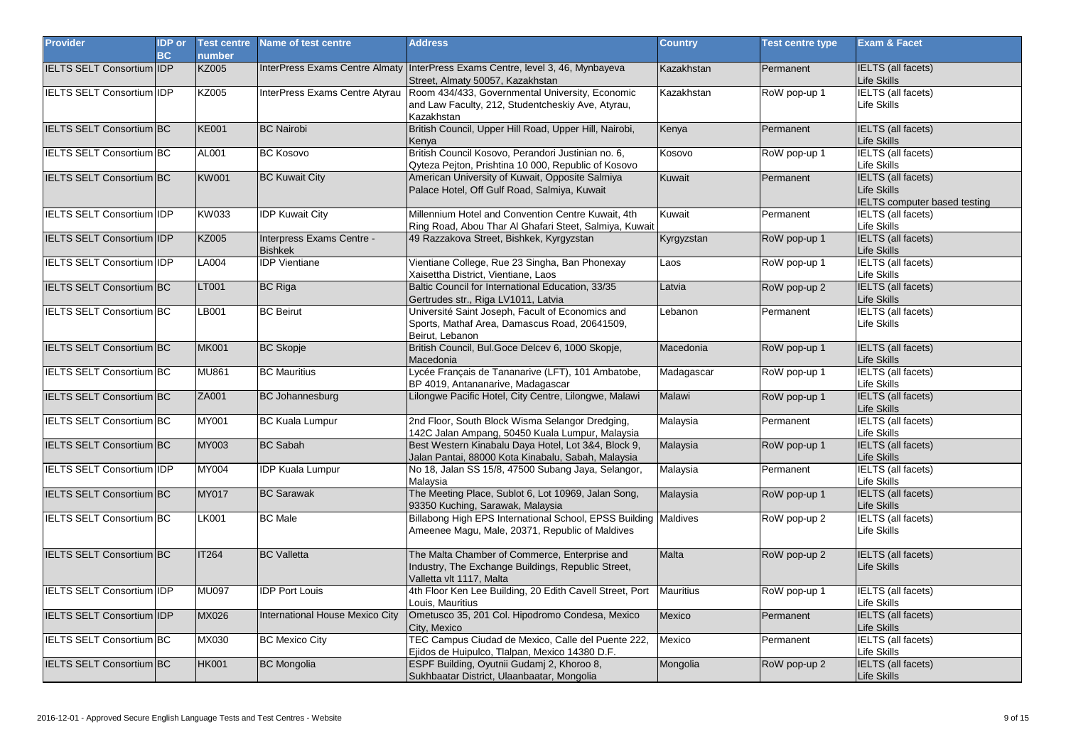| <b>Provider</b>                  | <b>IDP</b> or<br><b>BC</b> | <b>Test centre</b><br>number | Name of test centre                         | <b>Address</b>                                                                                                                  | <b>Country</b>   | <b>Test centre type</b> | Exam & Facet                                                                    |
|----------------------------------|----------------------------|------------------------------|---------------------------------------------|---------------------------------------------------------------------------------------------------------------------------------|------------------|-------------------------|---------------------------------------------------------------------------------|
| <b>IELTS SELT Consortium IDP</b> |                            | <b>KZ005</b>                 |                                             | InterPress Exams Centre Almaty InterPress Exams Centre, level 3, 46, Mynbayeva<br>Street, Almaty 50057, Kazakhstan              | Kazakhstan       | Permanent               | <b>IELTS</b> (all facets)<br>Life Skills                                        |
| IELTS SELT Consortium IDP        |                            | KZ005                        | InterPress Exams Centre Atyrau              | Room 434/433, Governmental University, Economic<br>and Law Faculty, 212, Studentcheskiy Ave, Atyrau,<br>Kazakhstan              | Kazakhstan       | RoW pop-up 1            | <b>IELTS</b> (all facets)<br>Life Skills                                        |
| IELTS SELT Consortium BC         |                            | <b>KE001</b>                 | <b>BC</b> Nairobi                           | British Council, Upper Hill Road, Upper Hill, Nairobi,<br>Kenya                                                                 | Kenya            | Permanent               | <b>IELTS</b> (all facets)<br>Life Skills                                        |
| IELTS SELT Consortium BC         |                            | AL001                        | <b>BC Kosovo</b>                            | British Council Kosovo, Perandori Justinian no. 6,<br>Qyteza Pejton, Prishtina 10 000, Republic of Kosovo                       | Kosovo           | RoW pop-up 1            | <b>IELTS</b> (all facets)<br>Life Skills                                        |
| <b>IELTS SELT Consortium BC</b>  |                            | <b>KW001</b>                 | <b>BC Kuwait City</b>                       | American University of Kuwait, Opposite Salmiya<br>Palace Hotel, Off Gulf Road, Salmiya, Kuwait                                 | Kuwait           | Permanent               | <b>IELTS</b> (all facets)<br>Life Skills<br><b>IELTS</b> computer based testing |
| IELTS SELT Consortium IDP        |                            | KW033                        | <b>IDP Kuwait City</b>                      | Millennium Hotel and Convention Centre Kuwait, 4th<br>Ring Road, Abou Thar Al Ghafari Steet, Salmiya, Kuwait                    | Kuwait           | Permanent               | <b>IELTS</b> (all facets)<br>Life Skills                                        |
| <b>IELTS SELT Consortium IDP</b> |                            | <b>KZ005</b>                 | Interpress Exams Centre -<br><b>Bishkek</b> | 49 Razzakova Street, Bishkek, Kyrgyzstan                                                                                        | Kyrgyzstan       | RoW pop-up 1            | <b>IELTS</b> (all facets)<br>Life Skills                                        |
| <b>IELTS SELT Consortium IDP</b> |                            | <b>LA004</b>                 | <b>IDP</b> Vientiane                        | Vientiane College, Rue 23 Singha, Ban Phonexay<br>Xaisettha District, Vientiane, Laos                                           | Laos             | RoW pop-up 1            | <b>IELTS</b> (all facets)<br>_ife Skills                                        |
| <b>IELTS SELT Consortium BC</b>  |                            | LT001                        | <b>BC Riga</b>                              | Baltic Council for International Education, 33/35<br>Gertrudes str., Riga LV1011, Latvia                                        | Latvia           | RoW pop-up 2            | <b>IELTS</b> (all facets)<br>Life Skills                                        |
| IELTS SELT Consortium BC         |                            | LB001                        | <b>BC</b> Beirut                            | Université Saint Joseph, Facult of Economics and<br>Sports, Mathaf Area, Damascus Road, 20641509,<br>Beirut, Lebanon            | Lebanon          | Permanent               | <b>IELTS</b> (all facets)<br>Life Skills                                        |
| <b>IELTS SELT Consortium BC</b>  |                            | <b>MK001</b>                 | <b>BC Skopje</b>                            | British Council, Bul.Goce Delcev 6, 1000 Skopje,<br>Macedonia                                                                   | Macedonia        | RoW pop-up 1            | <b>IELTS</b> (all facets)<br>Life Skills                                        |
| IELTS SELT Consortium BC         |                            | <b>MU861</b>                 | <b>BC</b> Mauritius                         | Lycée Français de Tananarive (LFT), 101 Ambatobe,<br>BP 4019, Antananarive, Madagascar                                          | Madagascar       | RoW pop-up 1            | <b>IELTS</b> (all facets)<br>Life Skills                                        |
| <b>IELTS SELT Consortium BC</b>  |                            | ZA001                        | <b>BC Johannesburg</b>                      | Lilongwe Pacific Hotel, City Centre, Lilongwe, Malawi                                                                           | Malawi           | RoW pop-up 1            | <b>IELTS</b> (all facets)<br>Life Skills                                        |
| <b>IELTS SELT Consortium BC</b>  |                            | MY001                        | <b>BC Kuala Lumpur</b>                      | 2nd Floor, South Block Wisma Selangor Dredging,<br>142C Jalan Ampang, 50450 Kuala Lumpur, Malaysia                              | Malaysia         | Permanent               | <b>IELTS</b> (all facets)<br>Life Skills                                        |
| IELTS SELT Consortium BC         |                            | MY003                        | <b>BC Sabah</b>                             | Best Western Kinabalu Daya Hotel, Lot 3&4, Block 9,<br>Jalan Pantai, 88000 Kota Kinabalu, Sabah, Malaysia                       | Malaysia         | RoW pop-up 1            | <b>IELTS</b> (all facets)<br>Life Skills                                        |
| <b>IELTS SELT Consortium IDP</b> |                            | MY004                        | <b>IDP Kuala Lumpur</b>                     | No 18, Jalan SS 15/8, 47500 Subang Jaya, Selangor,<br>Malavsia                                                                  | Malaysia         | Permanent               | <b>IELTS</b> (all facets)<br>Life Skills                                        |
| <b>IELTS SELT Consortium BC</b>  |                            | <b>MY017</b>                 | <b>BC Sarawak</b>                           | The Meeting Place, Sublot 6, Lot 10969, Jalan Song,<br>93350 Kuching, Sarawak, Malaysia                                         | Malaysia         | RoW pop-up 1            | <b>IELTS</b> (all facets)<br>Life Skills                                        |
| <b>IELTS SELT Consortium BC</b>  |                            | <b>LK001</b>                 | <b>BC</b> Male                              | Billabong High EPS International School, EPSS Building Maldives<br>Ameenee Magu, Male, 20371, Republic of Maldives              |                  | RoW pop-up 2            | <b>IELTS</b> (all facets)<br>Life Skills                                        |
| <b>IELTS SELT Consortium BC</b>  |                            | <b>IT264</b>                 | <b>BC</b> Valletta                          | The Malta Chamber of Commerce, Enterprise and<br>Industry, The Exchange Buildings, Republic Street,<br>Valletta vlt 1117, Malta | <b>Malta</b>     | RoW pop-up 2            | <b>IELTS</b> (all facets)<br>Life Skills                                        |
| <b>IELTS SELT Consortium IDP</b> |                            | <b>MU097</b>                 | <b>IDP Port Louis</b>                       | 4th Floor Ken Lee Building, 20 Edith Cavell Street, Port<br>Louis, Mauritius                                                    | <b>Mauritius</b> | RoW pop-up 1            | <b>IELTS</b> (all facets)<br>Life Skills                                        |
| <b>IELTS SELT Consortium IDP</b> |                            | MX026                        | International House Mexico City             | Ometusco 35, 201 Col. Hipodromo Condesa, Mexico<br>City, Mexico                                                                 | <b>Mexico</b>    | Permanent               | <b>IELTS</b> (all facets)<br>Life Skills                                        |
| <b>IELTS SELT Consortium BC</b>  |                            | MX030                        | <b>BC Mexico City</b>                       | TEC Campus Ciudad de Mexico, Calle del Puente 222,<br>Ejidos de Huipulco, Tlalpan, Mexico 14380 D.F.                            | Mexico           | Permanent               | <b>IELTS</b> (all facets)<br>_ife Skills                                        |
| <b>IELTS SELT Consortium BC</b>  |                            | <b>HK001</b>                 | <b>BC</b> Mongolia                          | ESPF Building, Oyutnii Gudamj 2, Khoroo 8,<br>Sukhbaatar District, Ulaanbaatar, Mongolia                                        | Mongolia         | RoW pop-up 2            | <b>IELTS</b> (all facets)<br>Life Skills                                        |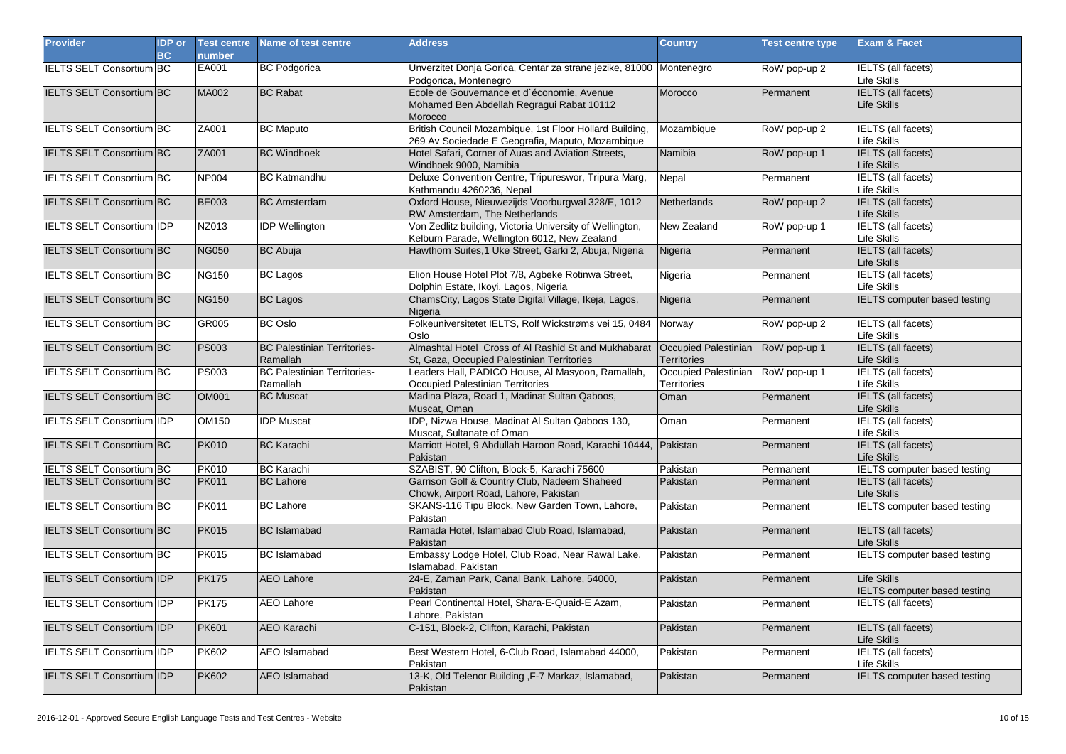| <b>Provider</b>                  | <b>IDP</b> or<br><b>BC</b> | <b>Test centre</b><br>number | Name of test centre                            | <b>Address</b>                                                                                              | <b>Country</b>                             | <b>Test centre type</b> | <b>Exam &amp; Facet</b>                                   |
|----------------------------------|----------------------------|------------------------------|------------------------------------------------|-------------------------------------------------------------------------------------------------------------|--------------------------------------------|-------------------------|-----------------------------------------------------------|
| <b>IELTS SELT Consortium BC</b>  |                            | EA001                        | <b>BC Podgorica</b>                            | Unverzitet Donja Gorica, Centar za strane jezike, 81000 Montenegro<br>Podgorica, Montenegro                 |                                            | RoW pop-up 2            | IELTS (all facets)<br>Life Skills                         |
| IELTS SELT Consortium BC         |                            | MA002                        | <b>BC Rabat</b>                                | Ecole de Gouvernance et d'économie, Avenue<br>Mohamed Ben Abdellah Regragui Rabat 10112<br>Morocco          | Morocco                                    | Permanent               | <b>IELTS</b> (all facets)<br>Life Skills                  |
| <b>IELTS SELT Consortium BC</b>  |                            | ZA001                        | <b>BC Maputo</b>                               | British Council Mozambique, 1st Floor Hollard Building,<br>269 Av Sociedade E Geografia, Maputo, Mozambique | Mozambique                                 | RoW pop-up 2            | <b>IELTS</b> (all facets)<br>Life Skills                  |
| <b>IELTS SELT Consortium BC</b>  |                            | <b>ZA001</b>                 | <b>BC Windhoek</b>                             | Hotel Safari, Corner of Auas and Aviation Streets,<br>Windhoek 9000, Namibia                                | Namibia                                    | RoW pop-up 1            | <b>IELTS</b> (all facets)<br>Life Skills                  |
| <b>IELTS SELT Consortium BC</b>  |                            | <b>NP004</b>                 | <b>BC Katmandhu</b>                            | Deluxe Convention Centre, Tripureswor, Tripura Marg,<br>Kathmandu 4260236, Nepal                            | Nepal                                      | Permanent               | <b>IELTS</b> (all facets)<br>Life Skills                  |
| <b>IELTS SELT Consortium BC</b>  |                            | <b>BE003</b>                 | <b>BC</b> Amsterdam                            | Oxford House, Nieuwezijds Voorburgwal 328/E, 1012<br>RW Amsterdam. The Netherlands                          | Netherlands                                | RoW pop-up 2            | <b>IELTS</b> (all facets)<br>Life Skills                  |
| IELTS SELT Consortium IDP        |                            | NZ013                        | <b>IDP</b> Wellington                          | Von Zedlitz building, Victoria University of Wellington,<br>Kelburn Parade, Wellington 6012, New Zealand    | New Zealand                                | RoW pop-up 1            | <b>IELTS</b> (all facets)<br>Life Skills                  |
| <b>IELTS SELT Consortium BC</b>  |                            | <b>NG050</b>                 | <b>BC</b> Abuja                                | Hawthorn Suites, 1 Uke Street, Garki 2, Abuja, Nigeria                                                      | Nigeria                                    | Permanent               | <b>IELTS</b> (all facets)<br>Life Skills                  |
| <b>IELTS SELT Consortium BC</b>  |                            | <b>NG150</b>                 | <b>BC Lagos</b>                                | Elion House Hotel Plot 7/8, Agbeke Rotinwa Street,<br>Dolphin Estate, Ikoyi, Lagos, Nigeria                 | Nigeria                                    | Permanent               | <b>IELTS</b> (all facets)<br>Life Skills                  |
| IELTS SELT Consortium BC         |                            | <b>NG150</b>                 | <b>BC Lagos</b>                                | ChamsCity, Lagos State Digital Village, Ikeja, Lagos,<br>Nigeria                                            | Nigeria                                    | Permanent               | IELTS computer based testing                              |
| <b>IELTS SELT Consortium BC</b>  |                            | <b>GR005</b>                 | <b>BC Oslo</b>                                 | Folkeuniversitetet IELTS, Rolf Wickstrøms vei 15, 0484<br>Oslo                                              | Norway                                     | RoW pop-up 2            | <b>IELTS</b> (all facets)<br>Life Skills                  |
| <b>IELTS SELT Consortium BC</b>  |                            | <b>PS003</b>                 | <b>BC Palestinian Territories-</b><br>Ramallah | Almashtal Hotel Cross of Al Rashid St and Mukhabarat<br>St. Gaza, Occupied Palestinian Territories          | Occupied Palestinian<br><b>Territories</b> | RoW pop-up 1            | <b>IELTS</b> (all facets)<br>Life Skills                  |
| IELTS SELT Consortium BC         |                            | <b>PS003</b>                 | <b>BC Palestinian Territories-</b><br>Ramallah | Leaders Hall, PADICO House, Al Masyoon, Ramallah,<br><b>Occupied Palestinian Territories</b>                | Occupied Palestinian<br>Territories        | RoW pop-up 1            | <b>IELTS</b> (all facets)<br>Life Skills                  |
| <b>IELTS SELT Consortium BC</b>  |                            | <b>OM001</b>                 | <b>BC Muscat</b>                               | Madina Plaza, Road 1, Madinat Sultan Qaboos,<br>Muscat. Oman                                                | Oman                                       | Permanent               | <b>IELTS</b> (all facets)<br>Life Skills                  |
| <b>IELTS SELT Consortium IDP</b> |                            | <b>OM150</b>                 | <b>IDP</b> Muscat                              | IDP, Nizwa House, Madinat Al Sultan Qaboos 130,<br>Muscat, Sultanate of Oman                                | Oman                                       | Permanent               | <b>IELTS</b> (all facets)<br>Life Skills                  |
| <b>IELTS SELT Consortium BC</b>  |                            | <b>PK010</b>                 | <b>BC Karachi</b>                              | Marriott Hotel, 9 Abdullah Haroon Road, Karachi 10444, Pakistan<br>Pakistan                                 |                                            | Permanent               | <b>IELTS</b> (all facets)<br>Life Skills                  |
| <b>IELTS SELT Consortium BC</b>  |                            | <b>PK010</b>                 | <b>BC Karachi</b>                              | SZABIST, 90 Clifton, Block-5, Karachi 75600                                                                 | Pakistan                                   | Permanent               | <b>IELTS</b> computer based testing                       |
| <b>IELTS SELT Consortium BC</b>  |                            | <b>PK011</b>                 | <b>BC</b> Lahore                               | Garrison Golf & Country Club, Nadeem Shaheed<br>Chowk, Airport Road, Lahore, Pakistan                       | Pakistan                                   | Permanent               | <b>IELTS (all facets)</b><br>Life Skills                  |
| <b>IELTS SELT Consortium BC</b>  |                            | <b>PK011</b>                 | <b>BC Lahore</b>                               | SKANS-116 Tipu Block, New Garden Town, Lahore,<br>Pakistan                                                  | Pakistan                                   | Permanent               | IELTS computer based testing                              |
| <b>IELTS SELT Consortium BC</b>  |                            | <b>PK015</b>                 | <b>BC</b> Islamabad                            | Ramada Hotel, Islamabad Club Road, Islamabad,<br>Pakistan                                                   | Pakistan                                   | Permanent               | <b>IELTS</b> (all facets)<br>Life Skills                  |
| <b>IELTS SELT Consortium BC</b>  |                            | <b>PK015</b>                 | <b>BC</b> Islamabad                            | Embassy Lodge Hotel, Club Road, Near Rawal Lake,<br>Islamabad, Pakistan                                     | Pakistan                                   | Permanent               | <b>IELTS</b> computer based testing                       |
| IELTS SELT Consortium IDP        |                            | <b>PK175</b>                 | <b>AEO Lahore</b>                              | 24-E, Zaman Park, Canal Bank, Lahore, 54000,<br>Pakistan                                                    | Pakistan                                   | Permanent               | <b>Life Skills</b><br><b>IELTS computer based testing</b> |
| IELTS SELT Consortium IDP        |                            | <b>PK175</b>                 | <b>AEO Lahore</b>                              | Pearl Continental Hotel, Shara-E-Quaid-E Azam,<br>Lahore, Pakistan                                          | Pakistan                                   | Permanent               | IELTS (all facets)                                        |
| IELTS SELT Consortium IDP        |                            | <b>PK601</b>                 | <b>AEO Karachi</b>                             | C-151, Block-2, Clifton, Karachi, Pakistan                                                                  | Pakistan                                   | Permanent               | <b>IELTS</b> (all facets)<br>Life Skills                  |
| <b>IELTS SELT Consortium IDP</b> |                            | PK602                        | <b>AEO</b> Islamabad                           | Best Western Hotel, 6-Club Road, Islamabad 44000,<br>Pakistan                                               | Pakistan                                   | Permanent               | <b>IELTS</b> (all facets)<br>Life Skills                  |
| <b>IELTS SELT Consortium IDP</b> |                            | <b>PK602</b>                 | <b>AEO</b> Islamabad                           | 13-K, Old Telenor Building , F-7 Markaz, Islamabad,<br>Pakistan                                             | Pakistan                                   | Permanent               | <b>IELTS</b> computer based testing                       |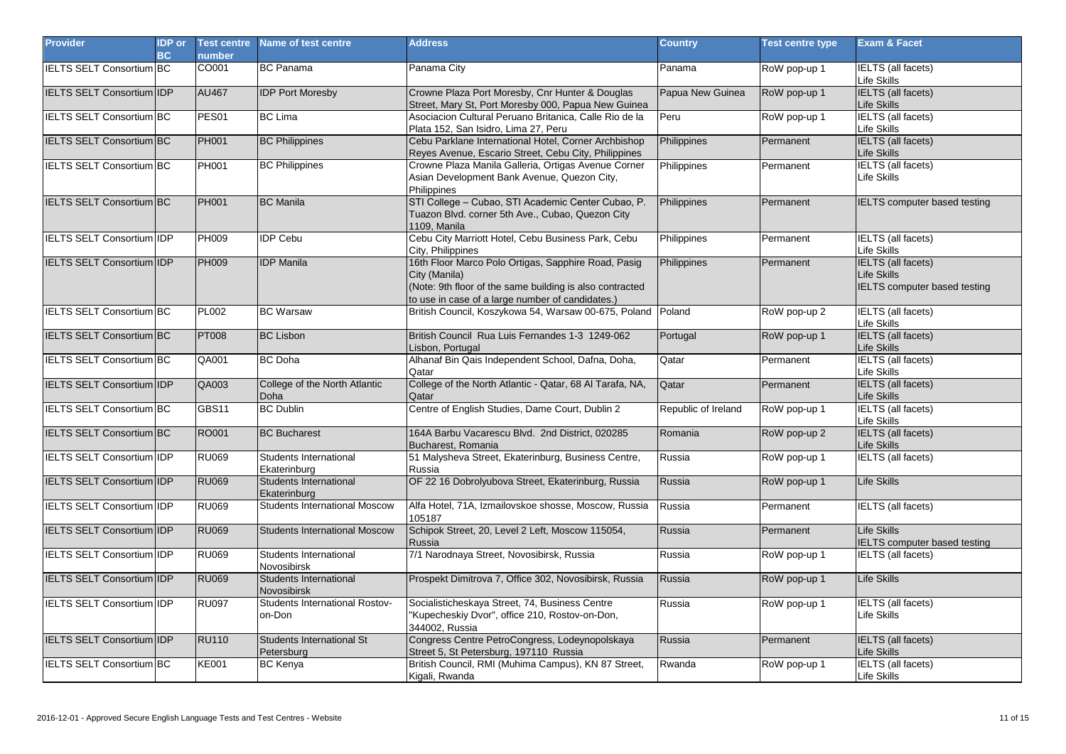| <b>Provider</b>                  | <b>IDP</b> or<br><b>BC</b> | <b>Test centre</b><br>number | Name of test centre                          | <b>Address</b>                                                                                                                                                                       | <b>Country</b>      | <b>Test centre type</b> | <b>Exam &amp; Facet</b>                                                         |
|----------------------------------|----------------------------|------------------------------|----------------------------------------------|--------------------------------------------------------------------------------------------------------------------------------------------------------------------------------------|---------------------|-------------------------|---------------------------------------------------------------------------------|
| <b>IELTS SELT Consortium BC</b>  |                            | CO001                        | <b>BC Panama</b>                             | Panama City                                                                                                                                                                          | Panama              | RoW pop-up 1            | <b>IELTS</b> (all facets)<br>Life Skills                                        |
| <b>IELTS SELT Consortium IDP</b> |                            | <b>AU467</b>                 | <b>IDP Port Moresby</b>                      | Crowne Plaza Port Moresby, Cnr Hunter & Douglas<br>Street, Mary St, Port Moresby 000, Papua New Guinea                                                                               | Papua New Guinea    | RoW pop-up 1            | <b>IELTS</b> (all facets)<br>Life Skills                                        |
| IELTS SELT Consortium BC         |                            | PES01                        | <b>BC</b> Lima                               | Asociacion Cultural Peruano Britanica, Calle Rio de la<br>Plata 152, San Isidro, Lima 27, Peru                                                                                       | Peru                | RoW pop-up 1            | <b>IELTS</b> (all facets)<br>Life Skills                                        |
| <b>IELTS SELT Consortium BC</b>  |                            | <b>PH001</b>                 | <b>BC Philippines</b>                        | Cebu Parklane International Hotel, Corner Archbishop<br>Reyes Avenue, Escario Street, Cebu City, Philippines                                                                         | Philippines         | Permanent               | <b>IELTS</b> (all facets)<br>Life Skills                                        |
| <b>IELTS SELT Consortium BC</b>  |                            | PH001                        | <b>BC Philippines</b>                        | Crowne Plaza Manila Galleria, Ortigas Avenue Corner<br>Asian Development Bank Avenue, Quezon City,<br>Philippines                                                                    | Philippines         | Permanent               | <b>IELTS</b> (all facets)<br>Life Skills                                        |
| <b>IELTS SELT Consortium BC</b>  |                            | <b>PH001</b>                 | <b>BC</b> Manila                             | STI College - Cubao, STI Academic Center Cubao, P.<br>Tuazon Blvd. corner 5th Ave., Cubao, Quezon City<br>1109, Manila                                                               | Philippines         | Permanent               | <b>IELTS computer based testing</b>                                             |
| <b>IELTS SELT Consortium IDP</b> |                            | PH009                        | <b>IDP Cebu</b>                              | Cebu City Marriott Hotel, Cebu Business Park, Cebu<br>City, Philippines                                                                                                              | Philippines         | Permanent               | <b>IELTS</b> (all facets)<br>Life Skills                                        |
| <b>IELTS SELT Consortium IDP</b> |                            | <b>PH009</b>                 | <b>IDP Manila</b>                            | 16th Floor Marco Polo Ortigas, Sapphire Road, Pasig<br>City (Manila)<br>(Note: 9th floor of the same building is also contracted<br>to use in case of a large number of candidates.) | Philippines         | Permanent               | <b>IELTS</b> (all facets)<br>Life Skills<br><b>IELTS</b> computer based testing |
| <b>IELTS SELT Consortium BC</b>  |                            | <b>PL002</b>                 | <b>BC Warsaw</b>                             | British Council, Koszykowa 54, Warsaw 00-675, Poland Poland                                                                                                                          |                     | RoW pop-up 2            | <b>IELTS</b> (all facets)<br>Life Skills                                        |
| IELTS SELT Consortium BC         |                            | <b>PT008</b>                 | <b>BC Lisbon</b>                             | British Council Rua Luis Fernandes 1-3 1249-062<br>Lisbon, Portugal                                                                                                                  | Portugal            | RoW pop-up 1            | <b>IELTS</b> (all facets)<br>Life Skills                                        |
| <b>IELTS SELT Consortium BC</b>  |                            | QA001                        | <b>BC</b> Doha                               | Alhanaf Bin Qais Independent School, Dafna, Doha,<br>Qatar                                                                                                                           | Qatar               | Permanent               | <b>IELTS</b> (all facets)<br>Life Skills                                        |
| <b>IELTS SELT Consortium IDP</b> |                            | QA003                        | College of the North Atlantic<br><b>Doha</b> | College of the North Atlantic - Qatar, 68 Al Tarafa, NA,<br>Qatar                                                                                                                    | Qatar               | Permanent               | <b>IELTS</b> (all facets)<br>Life Skills                                        |
| IELTS SELT Consortium BC         |                            | GBS11                        | <b>BC Dublin</b>                             | Centre of English Studies, Dame Court, Dublin 2                                                                                                                                      | Republic of Ireland | RoW pop-up 1            | <b>IELTS</b> (all facets)<br>Life Skills                                        |
| <b>IELTS SELT Consortium BC</b>  |                            | RO001                        | <b>BC Bucharest</b>                          | 164A Barbu Vacarescu Blvd. 2nd District, 020285<br>Bucharest, Romania                                                                                                                | Romania             | RoW pop-up 2            | <b>IELTS</b> (all facets)<br>Life Skills                                        |
| <b>IELTS SELT Consortium IDP</b> |                            | <b>RU069</b>                 | Students International<br>Ekaterinburg       | 51 Malysheva Street, Ekaterinburg, Business Centre,<br>Russia                                                                                                                        | Russia              | RoW pop-up 1            | <b>IELTS</b> (all facets)                                                       |
| IELTS SELT Consortium IDP        |                            | <b>RU069</b>                 | Students International<br>Ekaterinburg       | OF 22 16 Dobrolyubova Street, Ekaterinburg, Russia                                                                                                                                   | Russia              | RoW pop-up 1            | Life Skills                                                                     |
| IELTS SELT Consortium IDP        |                            | <b>RU069</b>                 | <b>Students International Moscow</b>         | Alfa Hotel, 71A, Izmailovskoe shosse, Moscow, Russia<br>105187                                                                                                                       | Russia              | Permanent               | <b>IELTS</b> (all facets)                                                       |
| IELTS SELT Consortium IDP        |                            | <b>RU069</b>                 | <b>Students International Moscow</b>         | Schipok Street, 20, Level 2 Left, Moscow 115054,<br>Russia                                                                                                                           | Russia              | Permanent               | Life Skills<br>IELTS computer based testing                                     |
| <b>IELTS SELT Consortium IDP</b> |                            | <b>RU069</b>                 | Students International<br>Novosibirsk        | 7/1 Narodnaya Street, Novosibirsk, Russia                                                                                                                                            | Russia              | RoW pop-up 1            | IELTS (all facets)                                                              |
| <b>IELTS SELT Consortium IDP</b> |                            | <b>RU069</b>                 | Students International<br><b>Novosibirsk</b> | Prospekt Dimitrova 7, Office 302, Novosibirsk, Russia                                                                                                                                | Russia              | RoW pop-up 1            | Life Skills                                                                     |
| <b>IELTS SELT Consortium IDP</b> |                            | <b>RU097</b>                 | Students International Rostov-<br>on-Don     | Socialisticheskaya Street, 74, Business Centre<br>"Kupecheskiy Dvor", office 210, Rostov-on-Don,<br>344002, Russia                                                                   | Russia              | RoW pop-up 1            | IELTS (all facets)<br>Life Skills                                               |
| <b>IELTS SELT Consortium IDP</b> |                            | <b>RU110</b>                 | Students International St<br>Petersburg      | Congress Centre PetroCongress, Lodeynopolskaya<br>Street 5, St Petersburg, 197110 Russia                                                                                             | Russia              | Permanent               | <b>IELTS</b> (all facets)<br>Life Skills                                        |
| IELTS SELT Consortium BC         |                            | <b>KE001</b>                 | <b>BC Kenya</b>                              | British Council, RMI (Muhima Campus), KN 87 Street,<br>Kigali, Rwanda                                                                                                                | Rwanda              | RoW pop-up 1            | <b>IELTS</b> (all facets)<br>Life Skills                                        |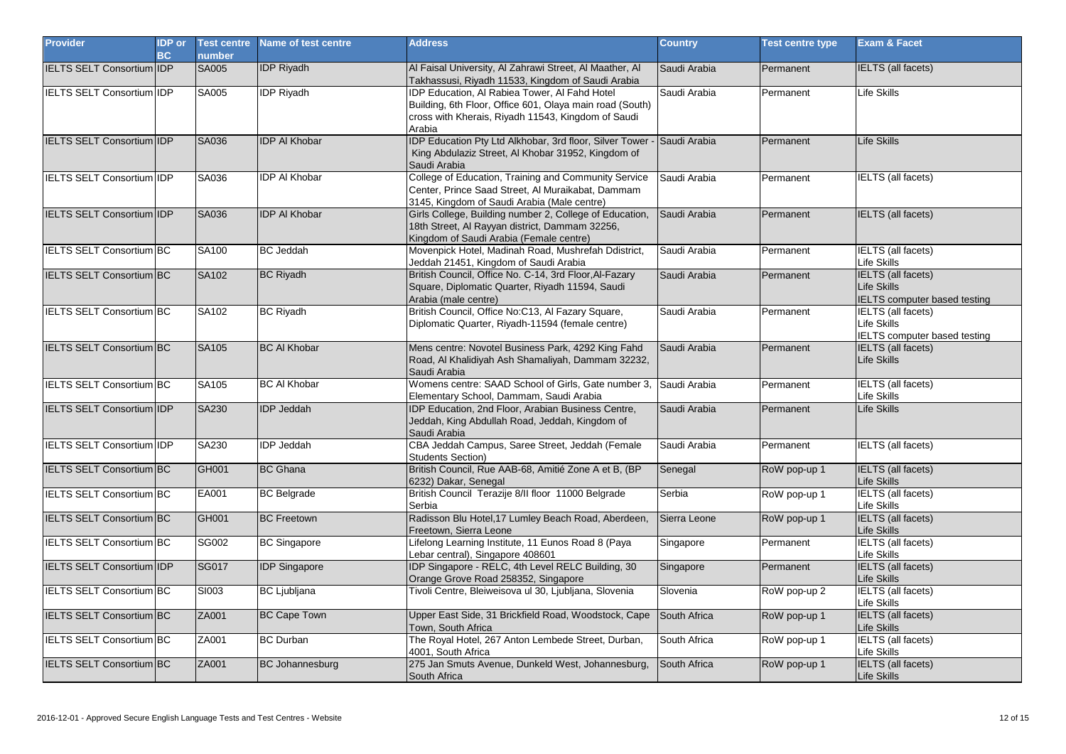| <b>Provider</b>                  | <b>IDP</b> or<br><b>BC</b> | <b>Test centre</b><br>number | Name of test centre    | <b>Address</b>                                                                                                                                                            | <b>Country</b> | <b>Test centre type</b> | <b>Exam &amp; Facet</b>                                                         |
|----------------------------------|----------------------------|------------------------------|------------------------|---------------------------------------------------------------------------------------------------------------------------------------------------------------------------|----------------|-------------------------|---------------------------------------------------------------------------------|
| <b>IELTS SELT Consortium IDP</b> |                            | <b>SA005</b>                 | <b>IDP Riyadh</b>      | Al Faisal University, Al Zahrawi Street, Al Maather, Al<br>Takhassusi, Riyadh 11533, Kingdom of Saudi Arabia                                                              | Saudi Arabia   | Permanent               | <b>IELTS (all facets)</b>                                                       |
| <b>IELTS SELT Consortium IDP</b> |                            | SA005                        | <b>IDP Riyadh</b>      | IDP Education, AI Rabiea Tower, AI Fahd Hotel<br>Building, 6th Floor, Office 601, Olaya main road (South)<br>cross with Kherais, Riyadh 11543, Kingdom of Saudi<br>Arabia | Saudi Arabia   | Permanent               | Life Skills                                                                     |
| IELTS SELT Consortium IDP        |                            | SA036                        | <b>IDP AI Khobar</b>   | IDP Education Pty Ltd Alkhobar, 3rd floor, Silver Tower - Saudi Arabia<br>King Abdulaziz Street, Al Khobar 31952, Kingdom of<br>Saudi Arabia                              |                | Permanent               | <b>Life Skills</b>                                                              |
| IELTS SELT Consortium IIDP       |                            | SA036                        | <b>IDP AI Khobar</b>   | College of Education, Training and Community Service<br>Center, Prince Saad Street, Al Muraikabat, Dammam<br>3145, Kingdom of Saudi Arabia (Male centre)                  | Saudi Arabia   | Permanent               | <b>IELTS</b> (all facets)                                                       |
| IELTS SELT Consortium IDP        |                            | SA036                        | <b>IDP AI Khobar</b>   | Girls College, Building number 2, College of Education,<br>18th Street, Al Rayyan district, Dammam 32256,<br>Kingdom of Saudi Arabia (Female centre)                      | Saudi Arabia   | Permanent               | <b>IELTS</b> (all facets)                                                       |
| <b>IELTS SELT Consortium BC</b>  |                            | SA100                        | <b>BC</b> Jeddah       | Movenpick Hotel, Madinah Road, Mushrefah Ddistrict,<br>Jeddah 21451, Kingdom of Saudi Arabia                                                                              | Saudi Arabia   | Permanent               | <b>IELTS</b> (all facets)<br>Life Skills                                        |
| <b>IELTS SELT Consortium BC</b>  |                            | SA102                        | <b>BC Riyadh</b>       | British Council, Office No. C-14, 3rd Floor, Al-Fazary<br>Square, Diplomatic Quarter, Riyadh 11594, Saudi<br>Arabia (male centre)                                         | Saudi Arabia   | Permanent               | <b>IELTS</b> (all facets)<br>Life Skills<br><b>IELTS</b> computer based testing |
| <b>IELTS SELT Consortium BC</b>  |                            | SA102                        | <b>BC Riyadh</b>       | British Council, Office No:C13, Al Fazary Square,<br>Diplomatic Quarter, Riyadh-11594 (female centre)                                                                     | Saudi Arabia   | Permanent               | <b>IELTS</b> (all facets)<br>Life Skills<br>IELTS computer based testing        |
| <b>IELTS SELT Consortium BC</b>  |                            | SA105                        | <b>BC AI Khobar</b>    | Mens centre: Novotel Business Park, 4292 King Fahd<br>Road, Al Khalidiyah Ash Shamaliyah, Dammam 32232,<br>Saudi Arabia                                                   | Saudi Arabia   | Permanent               | IELTS (all facets)<br>Life Skills                                               |
| <b>IELTS SELT Consortium BC</b>  |                            | SA105                        | <b>BC AI Khobar</b>    | Womens centre: SAAD School of Girls, Gate number 3,<br>Elementary School, Dammam, Saudi Arabia                                                                            | Saudi Arabia   | Permanent               | <b>IELTS</b> (all facets)<br>Life Skills                                        |
| IELTS SELT Consortium IDP        |                            | SA230                        | <b>IDP Jeddah</b>      | IDP Education, 2nd Floor, Arabian Business Centre,<br>Jeddah, King Abdullah Road, Jeddah, Kingdom of<br>Saudi Arabia                                                      | Saudi Arabia   | Permanent               | Life Skills                                                                     |
| <b>IELTS SELT Consortium IDP</b> |                            | SA230                        | <b>IDP Jeddah</b>      | CBA Jeddah Campus, Saree Street, Jeddah (Female<br><b>Students Section)</b>                                                                                               | Saudi Arabia   | Permanent               | <b>IELTS</b> (all facets)                                                       |
| <b>IELTS SELT Consortium BC</b>  |                            | GH001                        | <b>BC Ghana</b>        | British Council, Rue AAB-68, Amitié Zone A et B, (BP<br>6232) Dakar, Senegal                                                                                              | Senegal        | RoW pop-up 1            | <b>IELTS</b> (all facets)<br>Life Skills                                        |
| <b>IELTS SELT Consortium BC</b>  |                            | EA001                        | <b>BC Belgrade</b>     | British Council Terazije 8/II floor 11000 Belgrade<br>Serbia                                                                                                              | Serbia         | RoW pop-up 1            | <b>IELTS</b> (all facets)<br>Life Skills                                        |
| <b>IELTS SELT Consortium BC</b>  |                            | GH001                        | <b>BC Freetown</b>     | Radisson Blu Hotel, 17 Lumley Beach Road, Aberdeen,<br>Freetown, Sierra Leone                                                                                             | Sierra Leone   | RoW pop-up 1            | <b>IELTS</b> (all facets)<br>Life Skills                                        |
| IELTS SELT Consortium BC         |                            | SG002                        | <b>BC Singapore</b>    | Lifelong Learning Institute, 11 Eunos Road 8 (Paya<br>Lebar central), Singapore 408601                                                                                    | Singapore      | Permanent               | <b>IELTS</b> (all facets)<br>Life Skills                                        |
| IELTS SELT Consortium IDP        |                            | <b>SG017</b>                 | <b>IDP Singapore</b>   | IDP Singapore - RELC, 4th Level RELC Building, 30<br>Orange Grove Road 258352, Singapore                                                                                  | Singapore      | Permanent               | <b>IELTS</b> (all facets)<br>Life Skills                                        |
| <b>IELTS SELT Consortium BC</b>  |                            | SI003                        | <b>BC</b> Ljubljana    | Tivoli Centre, Bleiweisova ul 30, Ljubljana, Slovenia                                                                                                                     | Slovenia       | RoW pop-up 2            | IELTS (all facets)<br>Life Skills                                               |
| <b>IELTS SELT Consortium BC</b>  |                            | ZA001                        | <b>BC Cape Town</b>    | Upper East Side, 31 Brickfield Road, Woodstock, Cape<br>Town, South Africa                                                                                                | South Africa   | RoW pop-up 1            | <b>IELTS</b> (all facets)<br>Life Skills                                        |
| <b>IELTS SELT Consortium BC</b>  |                            | ZA001                        | <b>BC Durban</b>       | The Royal Hotel, 267 Anton Lembede Street, Durban,<br>4001, South Africa                                                                                                  | South Africa   | RoW pop-up 1            | <b>IELTS</b> (all facets)<br>Life Skills                                        |
| <b>IELTS SELT Consortium BC</b>  |                            | ZA001                        | <b>BC Johannesburg</b> | 275 Jan Smuts Avenue, Dunkeld West, Johannesburg,<br>South Africa                                                                                                         | South Africa   | RoW pop-up 1            | <b>IELTS</b> (all facets)<br>Life Skills                                        |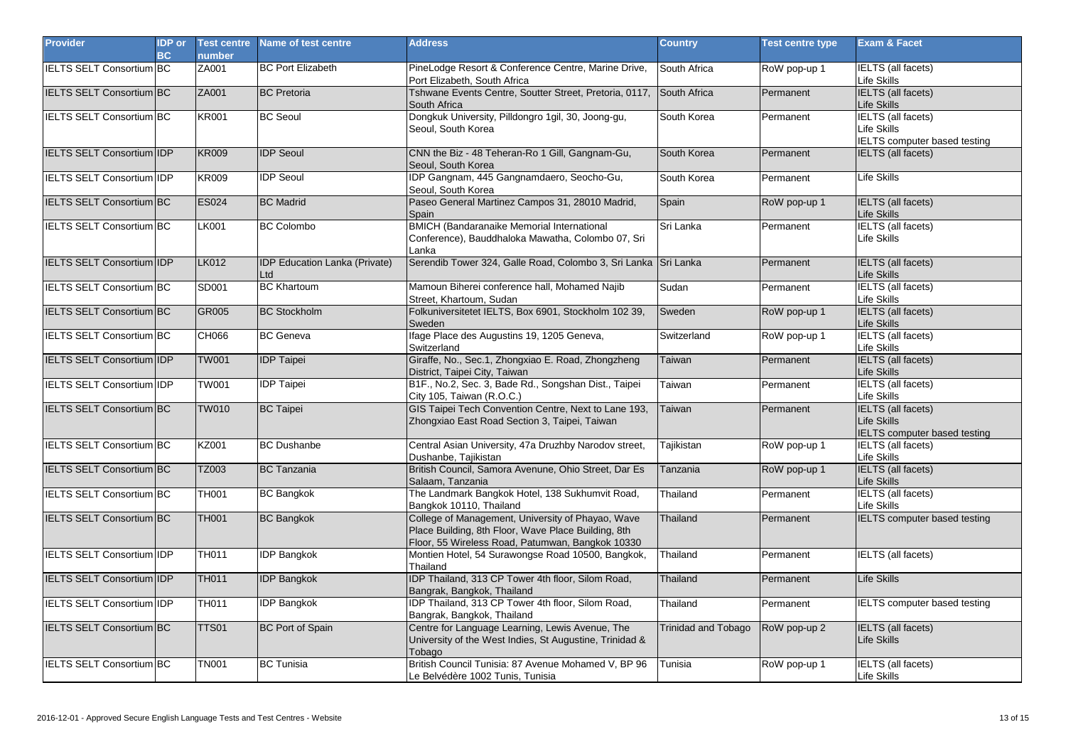| <b>Provider</b>                  | <b>IDP</b> or<br><b>BC</b> | <b>Test centre</b><br>number | Name of test centre                         | <b>Address</b>                                                                                                                                               | <b>Country</b>             | <b>Test centre type</b> | <b>Exam &amp; Facet</b>                                                  |
|----------------------------------|----------------------------|------------------------------|---------------------------------------------|--------------------------------------------------------------------------------------------------------------------------------------------------------------|----------------------------|-------------------------|--------------------------------------------------------------------------|
| <b>IELTS SELT Consortium BC</b>  |                            | ZA001                        | <b>BC Port Elizabeth</b>                    | PineLodge Resort & Conference Centre, Marine Drive,<br>Port Elizabeth, South Africa                                                                          | South Africa               | RoW pop-up 1            | <b>IELTS</b> (all facets)<br>Life Skills                                 |
| <b>IELTS SELT Consortium BC</b>  |                            | ZA001                        | <b>BC</b> Pretoria                          | Tshwane Events Centre, Soutter Street, Pretoria, 0117, South Africa<br>South Africa                                                                          |                            | Permanent               | <b>IELTS</b> (all facets)<br>Life Skills                                 |
| <b>IELTS SELT Consortium BC</b>  |                            | <b>KR001</b>                 | <b>BC Seoul</b>                             | Dongkuk University, Pilldongro 1gil, 30, Joong-gu,<br>Seoul. South Korea                                                                                     | South Korea                | Permanent               | <b>IELTS</b> (all facets)<br>Life Skills<br>IELTS computer based testing |
| IELTS SELT Consortium IDP        |                            | <b>KR009</b>                 | <b>IDP Seoul</b>                            | CNN the Biz - 48 Teheran-Ro 1 Gill, Gangnam-Gu,<br>Seoul, South Korea                                                                                        | South Korea                | Permanent               | <b>IELTS</b> (all facets)                                                |
| <b>IELTS SELT Consortium IDP</b> |                            | <b>KR009</b>                 | <b>IDP</b> Seoul                            | IDP Gangnam, 445 Gangnamdaero, Seocho-Gu,<br>Seoul. South Korea                                                                                              | South Korea                | Permanent               | Life Skills                                                              |
| <b>IELTS SELT Consortium BC</b>  |                            | <b>ES024</b>                 | <b>BC Madrid</b>                            | Paseo General Martinez Campos 31, 28010 Madrid,<br>Spain                                                                                                     | Spain                      | RoW pop-up 1            | <b>IELTS</b> (all facets)<br>Life Skills                                 |
| IELTS SELT Consortium BC         |                            | LK001                        | <b>BC Colombo</b>                           | <b>BMICH</b> (Bandaranaike Memorial International<br>Conference), Bauddhaloka Mawatha, Colombo 07, Sri<br>Lanka                                              | Sri Lanka                  | Permanent               | <b>IELTS</b> (all facets)<br>Life Skills                                 |
| <b>IELTS SELT Consortium IDP</b> |                            | <b>LK012</b>                 | <b>IDP Education Lanka (Private)</b><br>Ltd | Serendib Tower 324, Galle Road, Colombo 3, Sri Lanka Sri Lanka                                                                                               |                            | Permanent               | <b>IELTS</b> (all facets)<br>Life Skills                                 |
| IELTS SELT Consortium BC         |                            | SD001                        | <b>BC Khartoum</b>                          | Mamoun Biherei conference hall, Mohamed Najib<br>Street, Khartoum, Sudan                                                                                     | Sudan                      | Permanent               | <b>IELTS</b> (all facets)<br>Life Skills                                 |
| <b>IELTS SELT Consortium BC</b>  |                            | GR005                        | <b>BC Stockholm</b>                         | Folkuniversitetet IELTS, Box 6901, Stockholm 102 39,<br>Sweden                                                                                               | Sweden                     | RoW pop-up 1            | <b>IELTS</b> (all facets)<br>Life Skills                                 |
| IELTS SELT Consortium BC         |                            | <b>CH066</b>                 | <b>BC</b> Geneva                            | Ifage Place des Augustins 19, 1205 Geneva,<br>Switzerland                                                                                                    | Switzerland                | RoW pop-up 1            | <b>IELTS</b> (all facets)<br>Life Skills                                 |
| IELTS SELT Consortium IDP        |                            | <b>TW001</b>                 | <b>IDP</b> Taipei                           | Giraffe, No., Sec.1, Zhongxiao E. Road, Zhongzheng<br>District, Taipei City, Taiwan                                                                          | <b>Taiwan</b>              | Permanent               | <b>IELTS</b> (all facets)<br>Life Skills                                 |
| <b>IELTS SELT Consortium IDP</b> |                            | <b>TW001</b>                 | <b>IDP Taipei</b>                           | B1F., No.2, Sec. 3, Bade Rd., Songshan Dist., Taipei<br>City 105, Taiwan (R.O.C.)                                                                            | Taiwan                     | Permanent               | <b>IELTS</b> (all facets)<br>Life Skills                                 |
| <b>IELTS SELT Consortium BC</b>  |                            | <b>TW010</b>                 | <b>BC</b> Taipei                            | GIS Taipei Tech Convention Centre, Next to Lane 193,<br>Zhongxiao East Road Section 3, Taipei, Taiwan                                                        | Taiwan                     | Permanent               | <b>IELTS</b> (all facets)<br>Life Skills<br>IELTS computer based testing |
| <b>IELTS SELT Consortium BC</b>  |                            | KZ001                        | <b>BC Dushanbe</b>                          | Central Asian University, 47a Druzhby Narodov street,<br>Dushanbe, Tajikistan                                                                                | Tajikistan                 | RoW pop-up 1            | <b>IELTS</b> (all facets)<br>Life Skills                                 |
| <b>IELTS SELT Consortium BC</b>  |                            | TZ003                        | <b>BC</b> Tanzania                          | British Council, Samora Avenune, Ohio Street, Dar Es<br>Salaam, Tanzania                                                                                     | Tanzania                   | RoW pop-up 1            | <b>IELTS</b> (all facets)<br>Life Skills                                 |
| <b>IELTS SELT Consortium BC</b>  |                            | <b>TH001</b>                 | <b>BC Bangkok</b>                           | The Landmark Bangkok Hotel, 138 Sukhumvit Road,<br>Bangkok 10110, Thailand                                                                                   | Thailand                   | Permanent               | <b>IELTS</b> (all facets)<br>Life Skills                                 |
| <b>IELTS SELT Consortium BC</b>  |                            | <b>TH001</b>                 | <b>BC Bangkok</b>                           | College of Management, University of Phayao, Wave<br>Place Building, 8th Floor, Wave Place Building, 8th<br>Floor, 55 Wireless Road, Patumwan, Bangkok 10330 | Thailand                   | Permanent               | <b>IELTS</b> computer based testing                                      |
| <b>IELTS SELT Consortium IDP</b> |                            | <b>TH011</b>                 | <b>IDP Bangkok</b>                          | Montien Hotel, 54 Surawongse Road 10500, Bangkok,<br>Thailand                                                                                                | Thailand                   | Permanent               | <b>IELTS</b> (all facets)                                                |
| IELTS SELT Consortium IDP        |                            | <b>TH011</b>                 | <b>IDP Bangkok</b>                          | <b>IDP Thailand, 313 CP Tower 4th floor, Silom Road,</b><br>Bangrak, Bangkok, Thailand                                                                       | Thailand                   | Permanent               | Life Skills                                                              |
| IELTS SELT Consortium IDP        |                            | TH011                        | <b>IDP Bangkok</b>                          | IDP Thailand, 313 CP Tower 4th floor, Silom Road,<br>Bangrak, Bangkok, Thailand                                                                              | Thailand                   | Permanent               | <b>IELTS computer based testing</b>                                      |
| IELTS SELT Consortium BC         |                            | TTS01                        | <b>BC Port of Spain</b>                     | Centre for Language Learning, Lewis Avenue, The<br>University of the West Indies, St Augustine, Trinidad &<br>Tobago                                         | <b>Trinidad and Tobago</b> | RoW pop-up 2            | <b>IELTS</b> (all facets)<br>Life Skills                                 |
| <b>IELTS SELT Consortium BC</b>  |                            | <b>TN001</b>                 | <b>BC</b> Tunisia                           | British Council Tunisia: 87 Avenue Mohamed V, BP 96<br>Le Belvédère 1002 Tunis, Tunisia                                                                      | Tunisia                    | RoW pop-up 1            | <b>IELTS</b> (all facets)<br>Life Skills                                 |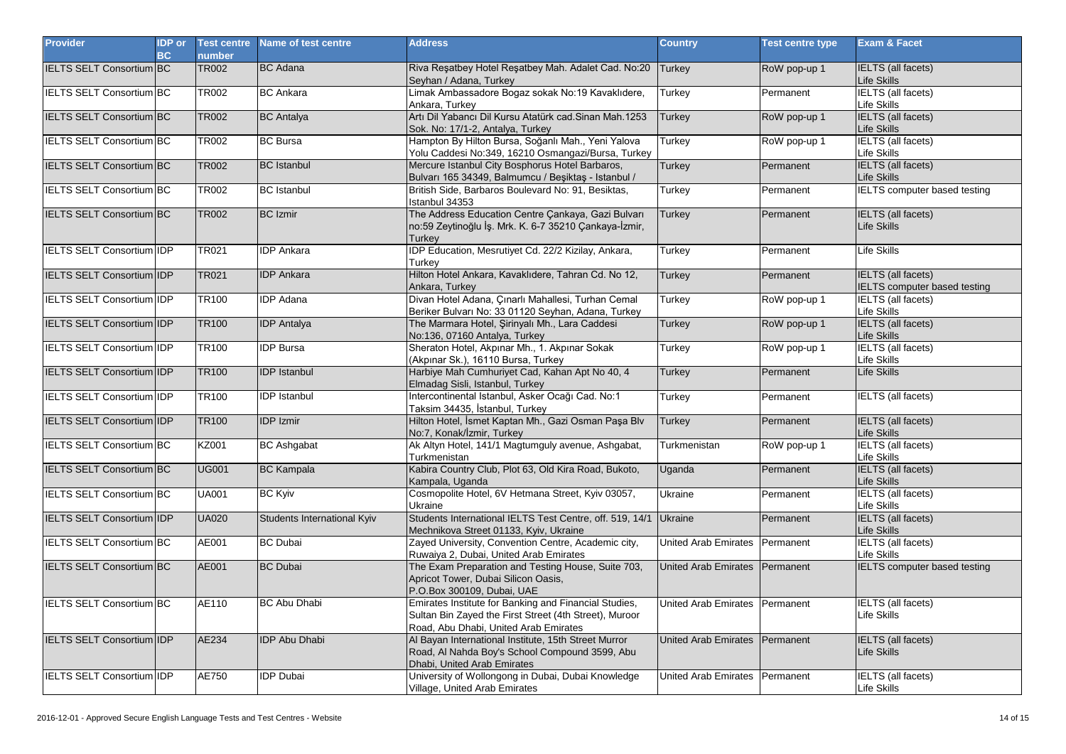| <b>Provider</b>                  | <b>IDP</b> or<br>BC | <b>Test centre</b><br>number | Name of test centre         | <b>Address</b>                                                                                                                                           | <b>Country</b>                 | <b>Test centre type</b> | Exam & Facet                                                     |
|----------------------------------|---------------------|------------------------------|-----------------------------|----------------------------------------------------------------------------------------------------------------------------------------------------------|--------------------------------|-------------------------|------------------------------------------------------------------|
| <b>IELTS SELT Consortium BC</b>  |                     | <b>TR002</b>                 | <b>BC</b> Adana             | Riva Resatbey Hotel Resatbey Mah. Adalet Cad. No:20<br>Seyhan / Adana, Turkey                                                                            | <b>Turkey</b>                  | RoW pop-up 1            | <b>IELTS</b> (all facets)<br>Life Skills                         |
| <b>IELTS SELT Consortium BC</b>  |                     | <b>TR002</b>                 | <b>BC</b> Ankara            | Limak Ambassadore Bogaz sokak No:19 Kavaklıdere,<br>Ankara, Turkey                                                                                       | Turkey                         | Permanent               | <b>IELTS</b> (all facets)<br>Life Skills                         |
| IELTS SELT Consortium BC         |                     | <b>TR002</b>                 | <b>BC</b> Antalya           | Artı Dil Yabancı Dil Kursu Atatürk cad. Sinan Mah. 1253<br>Sok. No: 17/1-2, Antalya, Turkey                                                              | <b>Turkey</b>                  | RoW pop-up 1            | <b>IELTS</b> (all facets)<br>Life Skills                         |
| IELTS SELT Consortium BC         |                     | <b>TR002</b>                 | <b>BC</b> Bursa             | Hampton By Hilton Bursa, Soğanlı Mah., Yeni Yalova<br>Yolu Caddesi No:349, 16210 Osmangazi/Bursa, Turkey                                                 | Turkey                         | RoW pop-up 1            | <b>IELTS</b> (all facets)<br>Life Skills                         |
| <b>IELTS SELT Consortium BC</b>  |                     | <b>TR002</b>                 | <b>BC</b> Istanbul          | Mercure Istanbul City Bosphorus Hotel Barbaros,<br>Bulvarı 165 34349, Balmumcu / Beşiktaş - Istanbul /                                                   | <b>Turkey</b>                  | Permanent               | <b>IELTS</b> (all facets)<br>Life Skills                         |
| IELTS SELT Consortium BC         |                     | <b>TR002</b>                 | <b>BC</b> Istanbul          | British Side, Barbaros Boulevard No: 91, Besiktas,<br>Istanbul 34353                                                                                     | Turkey                         | Permanent               | IELTS computer based testing                                     |
| IELTS SELT Consortium BC         |                     | <b>TR002</b>                 | <b>BC</b> Izmir             | The Address Education Centre Çankaya, Gazi Bulvarı<br>no:59 Zeytinoğlu İş. Mrk. K. 6-7 35210 Çankaya-İzmir,<br>Turkev                                    | <b>Turkey</b>                  | Permanent               | <b>IELTS</b> (all facets)<br>Life Skills                         |
| IELTS SELT Consortium IDP        |                     | TR021                        | <b>IDP</b> Ankara           | IDP Education, Mesrutiyet Cd. 22/2 Kizilay, Ankara,<br>Turkev                                                                                            | Turkey                         | Permanent               | Life Skills                                                      |
| IELTS SELT Consortium IDP        |                     | <b>TR021</b>                 | <b>IDP</b> Ankara           | Hilton Hotel Ankara, Kavaklıdere, Tahran Cd. No 12,<br>Ankara, Turkey                                                                                    | <b>Turkey</b>                  | Permanent               | <b>IELTS</b> (all facets)<br><b>IELTS computer based testing</b> |
| <b>IELTS SELT Consortium IDP</b> |                     | TR100                        | <b>IDP</b> Adana            | Divan Hotel Adana, Çınarlı Mahallesi, Turhan Cemal<br>Beriker Bulvarı No: 33 01120 Seyhan, Adana, Turkey                                                 | Turkey                         | RoW pop-up 1            | <b>IELTS</b> (all facets)<br>Life Skills                         |
| <b>IELTS SELT Consortium IDP</b> |                     | <b>TR100</b>                 | <b>IDP</b> Antalya          | The Marmara Hotel, Şirinyalı Mh., Lara Caddesi<br>No:136, 07160 Antalya, Turkey                                                                          | <b>Turkey</b>                  | RoW pop-up 1            | <b>IELTS</b> (all facets)<br>Life Skills                         |
| IELTS SELT Consortium IDP        |                     | <b>TR100</b>                 | <b>IDP</b> Bursa            | Sheraton Hotel, Akpinar Mh., 1. Akpinar Sokak<br>(Akpınar Sk.), 16110 Bursa, Turkey                                                                      | Turkey                         | RoW pop-up 1            | <b>IELTS</b> (all facets)<br>Life Skills                         |
| IELTS SELT Consortium IDP        |                     | <b>TR100</b>                 | <b>IDP</b> Istanbul         | Harbiye Mah Cumhuriyet Cad, Kahan Apt No 40, 4<br>Elmadag Sisli, Istanbul, Turkey                                                                        | <b>Turkey</b>                  | Permanent               | Life Skills                                                      |
| <b>IELTS SELT Consortium IDP</b> |                     | <b>TR100</b>                 | <b>IDP</b> Istanbul         | Intercontinental Istanbul, Asker Ocağı Cad. No:1<br>Taksim 34435, İstanbul, Turkey                                                                       | Turkey                         | Permanent               | <b>IELTS</b> (all facets)                                        |
| <b>IELTS SELT Consortium IDP</b> |                     | <b>TR100</b>                 | <b>IDP Izmir</b>            | Hilton Hotel, İsmet Kaptan Mh., Gazi Osman Paşa Blv<br>No:7, Konak/İzmir, Turkey                                                                         | <b>Turkey</b>                  | Permanent               | <b>IELTS</b> (all facets)<br>Life Skills                         |
| IELTS SELT Consortium BC         |                     | KZ001                        | <b>BC</b> Ashgabat          | Ak Altyn Hotel, 141/1 Magtumguly avenue, Ashgabat,<br>Turkmenistan                                                                                       | Turkmenistan                   | RoW pop-up 1            | <b>IELTS</b> (all facets)<br>Life Skills                         |
| IELTS SELT Consortium BC         |                     | <b>UG001</b>                 | <b>BC</b> Kampala           | Kabira Country Club, Plot 63, Old Kira Road, Bukoto,<br>Kampala, Uganda                                                                                  | Uganda                         | Permanent               | <b>IELTS</b> (all facets)<br>Life Skills                         |
| <b>IELTS SELT Consortium BC</b>  |                     | <b>UA001</b>                 | <b>BC Kyiv</b>              | Cosmopolite Hotel, 6V Hetmana Street, Kyiv 03057,<br>Ukraine                                                                                             | Ukraine                        | Permanent               | <b>IELTS</b> (all facets)<br>Life Skills                         |
| IELTS SELT Consortium IDP        |                     | <b>UA020</b>                 | Students International Kyiv | Students International IELTS Test Centre, off. 519, 14/1<br>Mechnikova Street 01133, Kyiv, Ukraine                                                       | <b>Ukraine</b>                 | Permanent               | <b>IELTS</b> (all facets)<br>Life Skills                         |
| IELTS SELT Consortium BC         |                     | AE001                        | <b>BC</b> Dubai             | Zayed University, Convention Centre, Academic city,<br>Ruwaiya 2, Dubai, United Arab Emirates                                                            | United Arab Emirates Permanent |                         | <b>IELTS</b> (all facets)<br>Life Skills                         |
| <b>IELTS SELT Consortium BC</b>  |                     | AE001                        | <b>BC</b> Dubai             | The Exam Preparation and Testing House, Suite 703,<br>Apricot Tower, Dubai Silicon Oasis,<br>P.O.Box 300109, Dubai, UAE                                  | <b>United Arab Emirates</b>    | Permanent               | <b>IELTS</b> computer based testing                              |
| IELTS SELT Consortium BC         |                     | AE110                        | <b>BC Abu Dhabi</b>         | Emirates Institute for Banking and Financial Studies,<br>Sultan Bin Zayed the First Street (4th Street), Muroor<br>Road, Abu Dhabi, United Arab Emirates | United Arab Emirates Permanent |                         | <b>IELTS</b> (all facets)<br>Life Skills                         |
| IELTS SELT Consortium IDP        |                     | AE234                        | <b>IDP Abu Dhabi</b>        | Al Bayan International Institute, 15th Street Murror<br>Road, Al Nahda Boy's School Compound 3599, Abu<br>Dhabi, United Arab Emirates                    | United Arab Emirates Permanent |                         | <b>IELTS</b> (all facets)<br>Life Skills                         |
| IELTS SELT Consortium IDP        |                     | AE750                        | <b>IDP Dubai</b>            | University of Wollongong in Dubai, Dubai Knowledge<br>Village, United Arab Emirates                                                                      | United Arab Emirates Permanent |                         | <b>IELTS</b> (all facets)<br>Life Skills                         |